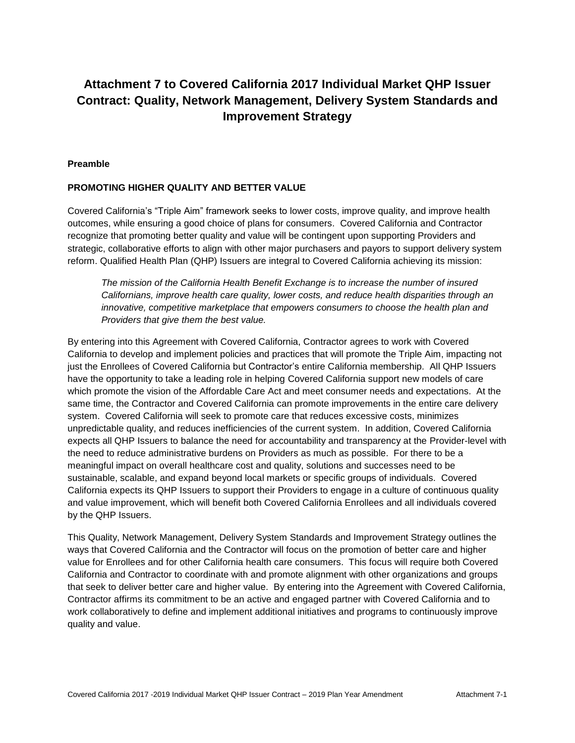# **Attachment 7 to Covered California 2017 Individual Market QHP Issuer Contract: Quality, Network Management, Delivery System Standards and Improvement Strategy**

#### **Preamble**

#### **PROMOTING HIGHER QUALITY AND BETTER VALUE**

Covered California's "Triple Aim" framework seeks to lower costs, improve quality, and improve health outcomes, while ensuring a good choice of plans for consumers. Covered California and Contractor recognize that promoting better quality and value will be contingent upon supporting Providers and strategic, collaborative efforts to align with other major purchasers and payors to support delivery system reform. Qualified Health Plan (QHP) Issuers are integral to Covered California achieving its mission:

*The mission of the California Health Benefit Exchange is to increase the number of insured Californians, improve health care quality, lower costs, and reduce health disparities through an innovative, competitive marketplace that empowers consumers to choose the health plan and Providers that give them the best value.*

By entering into this Agreement with Covered California, Contractor agrees to work with Covered California to develop and implement policies and practices that will promote the Triple Aim, impacting not just the Enrollees of Covered California but Contractor's entire California membership. All QHP Issuers have the opportunity to take a leading role in helping Covered California support new models of care which promote the vision of the Affordable Care Act and meet consumer needs and expectations. At the same time, the Contractor and Covered California can promote improvements in the entire care delivery system. Covered California will seek to promote care that reduces excessive costs, minimizes unpredictable quality, and reduces inefficiencies of the current system. In addition, Covered California expects all QHP Issuers to balance the need for accountability and transparency at the Provider-level with the need to reduce administrative burdens on Providers as much as possible. For there to be a meaningful impact on overall healthcare cost and quality, solutions and successes need to be sustainable, scalable, and expand beyond local markets or specific groups of individuals. Covered California expects its QHP Issuers to support their Providers to engage in a culture of continuous quality and value improvement, which will benefit both Covered California Enrollees and all individuals covered by the QHP Issuers.

This Quality, Network Management, Delivery System Standards and Improvement Strategy outlines the ways that Covered California and the Contractor will focus on the promotion of better care and higher value for Enrollees and for other California health care consumers. This focus will require both Covered California and Contractor to coordinate with and promote alignment with other organizations and groups that seek to deliver better care and higher value. By entering into the Agreement with Covered California, Contractor affirms its commitment to be an active and engaged partner with Covered California and to work collaboratively to define and implement additional initiatives and programs to continuously improve quality and value.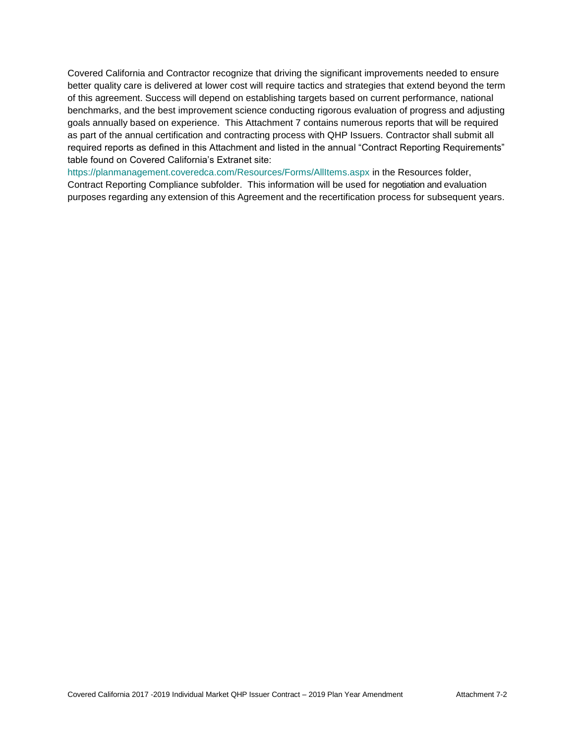Covered California and Contractor recognize that driving the significant improvements needed to ensure better quality care is delivered at lower cost will require tactics and strategies that extend beyond the term of this agreement. Success will depend on establishing targets based on current performance, national benchmarks, and the best improvement science conducting rigorous evaluation of progress and adjusting goals annually based on experience. This Attachment 7 contains numerous reports that will be required as part of the annual certification and contracting process with QHP Issuers. Contractor shall submit all required reports as defined in this Attachment and listed in the annual "Contract Reporting Requirements" table found on Covered California's Extranet site:

<https://planmanagement.coveredca.com/Resources/Forms/AllItems.aspx> in the Resources folder, Contract Reporting Compliance subfolder. This information will be used for negotiation and evaluation purposes regarding any extension of this Agreement and the recertification process for subsequent years.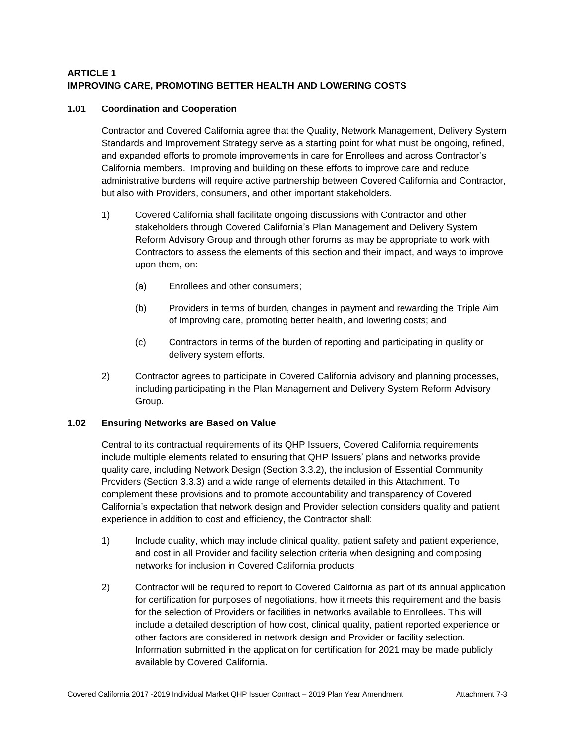# **ARTICLE 1 IMPROVING CARE, PROMOTING BETTER HEALTH AND LOWERING COSTS**

# **1.01 Coordination and Cooperation**

Contractor and Covered California agree that the Quality, Network Management, Delivery System Standards and Improvement Strategy serve as a starting point for what must be ongoing, refined, and expanded efforts to promote improvements in care for Enrollees and across Contractor's California members. Improving and building on these efforts to improve care and reduce administrative burdens will require active partnership between Covered California and Contractor, but also with Providers, consumers, and other important stakeholders.

- 1) Covered California shall facilitate ongoing discussions with Contractor and other stakeholders through Covered California's Plan Management and Delivery System Reform Advisory Group and through other forums as may be appropriate to work with Contractors to assess the elements of this section and their impact, and ways to improve upon them, on:
	- (a) Enrollees and other consumers;
	- (b) Providers in terms of burden, changes in payment and rewarding the Triple Aim of improving care, promoting better health, and lowering costs; and
	- (c) Contractors in terms of the burden of reporting and participating in quality or delivery system efforts.
- 2) Contractor agrees to participate in Covered California advisory and planning processes, including participating in the Plan Management and Delivery System Reform Advisory Group.

# **1.02 Ensuring Networks are Based on Value**

Central to its contractual requirements of its QHP Issuers, Covered California requirements include multiple elements related to ensuring that QHP Issuers' plans and networks provide quality care, including Network Design (Section 3.3.2), the inclusion of Essential Community Providers (Section 3.3.3) and a wide range of elements detailed in this Attachment. To complement these provisions and to promote accountability and transparency of Covered California's expectation that network design and Provider selection considers quality and patient experience in addition to cost and efficiency, the Contractor shall:

- 1) Include quality, which may include clinical quality, patient safety and patient experience, and cost in all Provider and facility selection criteria when designing and composing networks for inclusion in Covered California products
- 2) Contractor will be required to report to Covered California as part of its annual application for certification for purposes of negotiations, how it meets this requirement and the basis for the selection of Providers or facilities in networks available to Enrollees. This will include a detailed description of how cost, clinical quality, patient reported experience or other factors are considered in network design and Provider or facility selection. Information submitted in the application for certification for 2021 may be made publicly available by Covered California.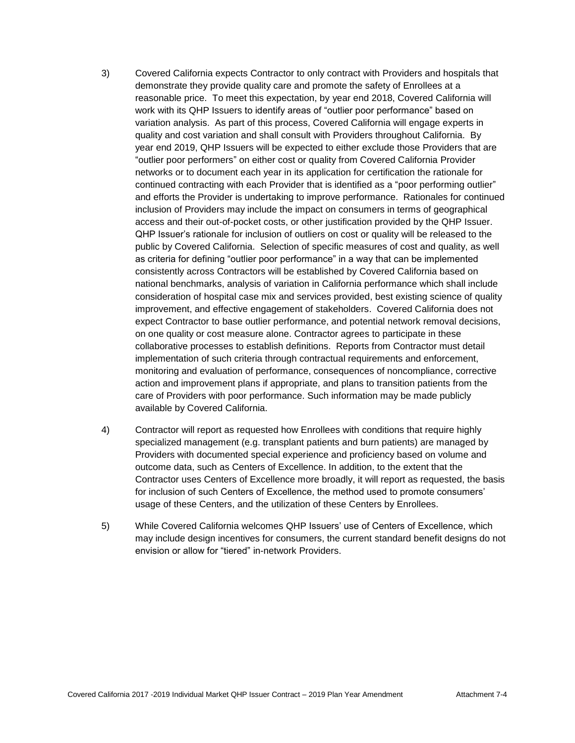- 3) Covered California expects Contractor to only contract with Providers and hospitals that demonstrate they provide quality care and promote the safety of Enrollees at a reasonable price. To meet this expectation, by year end 2018, Covered California will work with its QHP Issuers to identify areas of "outlier poor performance" based on variation analysis. As part of this process, Covered California will engage experts in quality and cost variation and shall consult with Providers throughout California. By year end 2019, QHP Issuers will be expected to either exclude those Providers that are "outlier poor performers" on either cost or quality from Covered California Provider networks or to document each year in its application for certification the rationale for continued contracting with each Provider that is identified as a "poor performing outlier" and efforts the Provider is undertaking to improve performance. Rationales for continued inclusion of Providers may include the impact on consumers in terms of geographical access and their out-of-pocket costs, or other justification provided by the QHP Issuer. QHP Issuer's rationale for inclusion of outliers on cost or quality will be released to the public by Covered California. Selection of specific measures of cost and quality, as well as criteria for defining "outlier poor performance" in a way that can be implemented consistently across Contractors will be established by Covered California based on national benchmarks, analysis of variation in California performance which shall include consideration of hospital case mix and services provided, best existing science of quality improvement, and effective engagement of stakeholders. Covered California does not expect Contractor to base outlier performance, and potential network removal decisions, on one quality or cost measure alone. Contractor agrees to participate in these collaborative processes to establish definitions. Reports from Contractor must detail implementation of such criteria through contractual requirements and enforcement, monitoring and evaluation of performance, consequences of noncompliance, corrective action and improvement plans if appropriate, and plans to transition patients from the care of Providers with poor performance. Such information may be made publicly available by Covered California.
- 4) Contractor will report as requested how Enrollees with conditions that require highly specialized management (e.g. transplant patients and burn patients) are managed by Providers with documented special experience and proficiency based on volume and outcome data, such as Centers of Excellence. In addition, to the extent that the Contractor uses Centers of Excellence more broadly, it will report as requested, the basis for inclusion of such Centers of Excellence, the method used to promote consumers' usage of these Centers, and the utilization of these Centers by Enrollees.
- 5) While Covered California welcomes QHP Issuers' use of Centers of Excellence, which may include design incentives for consumers, the current standard benefit designs do not envision or allow for "tiered" in-network Providers.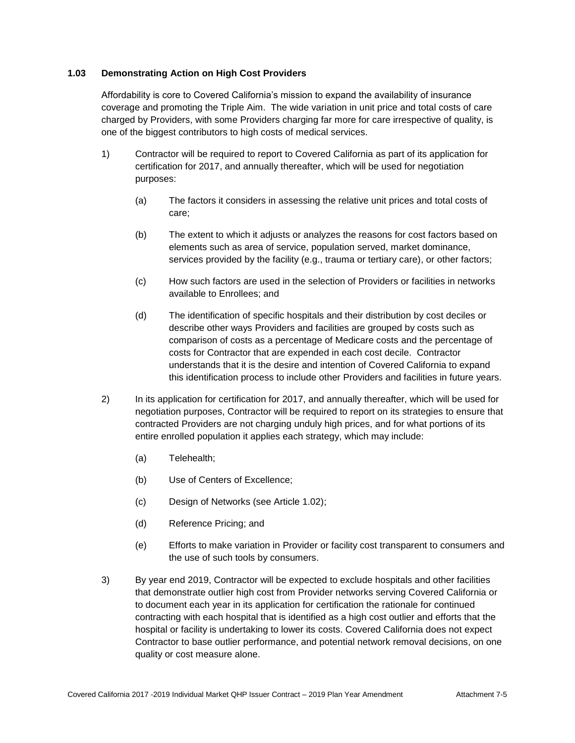# **1.03 Demonstrating Action on High Cost Providers**

Affordability is core to Covered California's mission to expand the availability of insurance coverage and promoting the Triple Aim. The wide variation in unit price and total costs of care charged by Providers, with some Providers charging far more for care irrespective of quality, is one of the biggest contributors to high costs of medical services.

- 1) Contractor will be required to report to Covered California as part of its application for certification for 2017, and annually thereafter, which will be used for negotiation purposes:
	- (a) The factors it considers in assessing the relative unit prices and total costs of care;
	- (b) The extent to which it adjusts or analyzes the reasons for cost factors based on elements such as area of service, population served, market dominance, services provided by the facility (e.g., trauma or tertiary care), or other factors;
	- (c) How such factors are used in the selection of Providers or facilities in networks available to Enrollees; and
	- (d) The identification of specific hospitals and their distribution by cost deciles or describe other ways Providers and facilities are grouped by costs such as comparison of costs as a percentage of Medicare costs and the percentage of costs for Contractor that are expended in each cost decile. Contractor understands that it is the desire and intention of Covered California to expand this identification process to include other Providers and facilities in future years.
- 2) In its application for certification for 2017, and annually thereafter, which will be used for negotiation purposes, Contractor will be required to report on its strategies to ensure that contracted Providers are not charging unduly high prices, and for what portions of its entire enrolled population it applies each strategy, which may include:
	- (a) Telehealth;
	- (b) Use of Centers of Excellence;
	- (c) Design of Networks (see Article 1.02);
	- (d) Reference Pricing; and
	- (e) Efforts to make variation in Provider or facility cost transparent to consumers and the use of such tools by consumers.
- 3) By year end 2019, Contractor will be expected to exclude hospitals and other facilities that demonstrate outlier high cost from Provider networks serving Covered California or to document each year in its application for certification the rationale for continued contracting with each hospital that is identified as a high cost outlier and efforts that the hospital or facility is undertaking to lower its costs. Covered California does not expect Contractor to base outlier performance, and potential network removal decisions, on one quality or cost measure alone.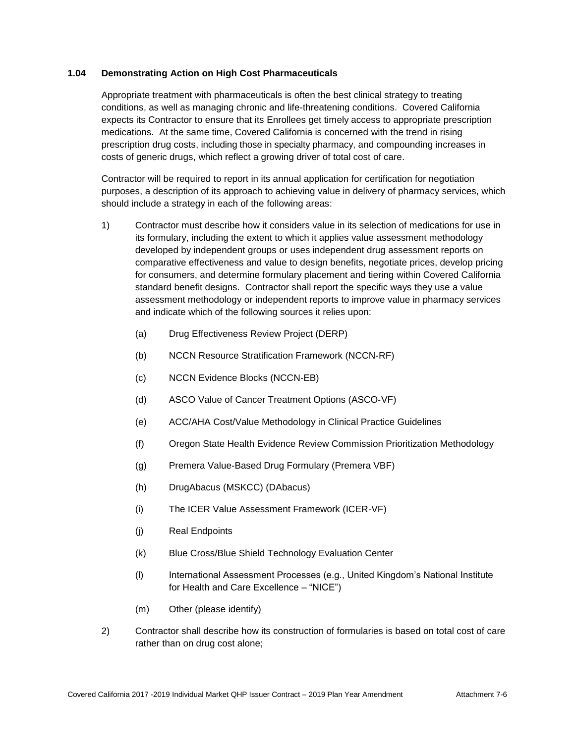## **1.04 Demonstrating Action on High Cost Pharmaceuticals**

Appropriate treatment with pharmaceuticals is often the best clinical strategy to treating conditions, as well as managing chronic and life-threatening conditions. Covered California expects its Contractor to ensure that its Enrollees get timely access to appropriate prescription medications. At the same time, Covered California is concerned with the trend in rising prescription drug costs, including those in specialty pharmacy, and compounding increases in costs of generic drugs, which reflect a growing driver of total cost of care.

Contractor will be required to report in its annual application for certification for negotiation purposes, a description of its approach to achieving value in delivery of pharmacy services, which should include a strategy in each of the following areas:

- 1) Contractor must describe how it considers value in its selection of medications for use in its formulary, including the extent to which it applies value assessment methodology developed by independent groups or uses independent drug assessment reports on comparative effectiveness and value to design benefits, negotiate prices, develop pricing for consumers, and determine formulary placement and tiering within Covered California standard benefit designs. Contractor shall report the specific ways they use a value assessment methodology or independent reports to improve value in pharmacy services and indicate which of the following sources it relies upon:
	- (a) Drug Effectiveness Review Project (DERP)
	- (b) NCCN Resource Stratification Framework (NCCN‐RF)
	- (c) NCCN Evidence Blocks (NCCN‐EB)
	- (d) ASCO Value of Cancer Treatment Options (ASCO‐VF)
	- (e) ACC/AHA Cost/Value Methodology in Clinical Practice Guidelines
	- (f) Oregon State Health Evidence Review Commission Prioritization Methodology
	- (g) Premera Value‐Based Drug Formulary (Premera VBF)
	- (h) DrugAbacus (MSKCC) (DAbacus)
	- (i) The ICER Value Assessment Framework (ICER‐VF)
	- (j) Real Endpoints
	- (k) Blue Cross/Blue Shield Technology Evaluation Center
	- (l) International Assessment Processes (e.g., United Kingdom's National Institute for Health and Care Excellence – "NICE")
	- (m) Other (please identify)
- 2) Contractor shall describe how its construction of formularies is based on total cost of care rather than on drug cost alone;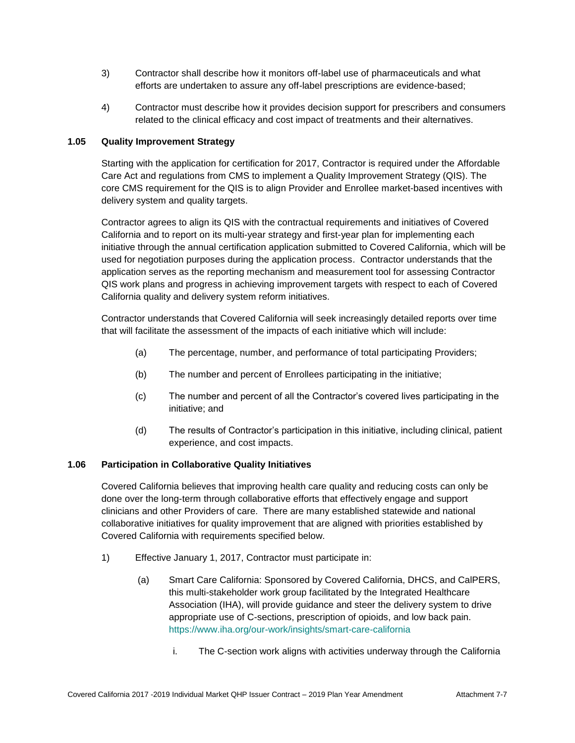- 3) Contractor shall describe how it monitors off-label use of pharmaceuticals and what efforts are undertaken to assure any off-label prescriptions are evidence-based;
- 4) Contractor must describe how it provides decision support for prescribers and consumers related to the clinical efficacy and cost impact of treatments and their alternatives.

# **1.05 Quality Improvement Strategy**

Starting with the application for certification for 2017, Contractor is required under the Affordable Care Act and regulations from CMS to implement a Quality Improvement Strategy (QIS). The core CMS requirement for the QIS is to align Provider and Enrollee market-based incentives with delivery system and quality targets.

Contractor agrees to align its QIS with the contractual requirements and initiatives of Covered California and to report on its multi-year strategy and first-year plan for implementing each initiative through the annual certification application submitted to Covered California, which will be used for negotiation purposes during the application process. Contractor understands that the application serves as the reporting mechanism and measurement tool for assessing Contractor QIS work plans and progress in achieving improvement targets with respect to each of Covered California quality and delivery system reform initiatives.

Contractor understands that Covered California will seek increasingly detailed reports over time that will facilitate the assessment of the impacts of each initiative which will include:

- (a) The percentage, number, and performance of total participating Providers;
- (b) The number and percent of Enrollees participating in the initiative;
- (c) The number and percent of all the Contractor's covered lives participating in the initiative; and
- (d) The results of Contractor's participation in this initiative, including clinical, patient experience, and cost impacts.

# **1.06 Participation in Collaborative Quality Initiatives**

Covered California believes that improving health care quality and reducing costs can only be done over the long-term through collaborative efforts that effectively engage and support clinicians and other Providers of care. There are many established statewide and national collaborative initiatives for quality improvement that are aligned with priorities established by Covered California with requirements specified below.

- 1) Effective January 1, 2017, Contractor must participate in:
	- (a) Smart Care California: Sponsored by Covered California, DHCS, and CalPERS, this multi-stakeholder work group facilitated by the Integrated Healthcare Association (IHA), will provide guidance and steer the delivery system to drive appropriate use of C-sections, prescription of opioids, and low back pain. <https://www.iha.org/our-work/insights/smart-care-california>
		- i. The C-section work aligns with activities underway through the California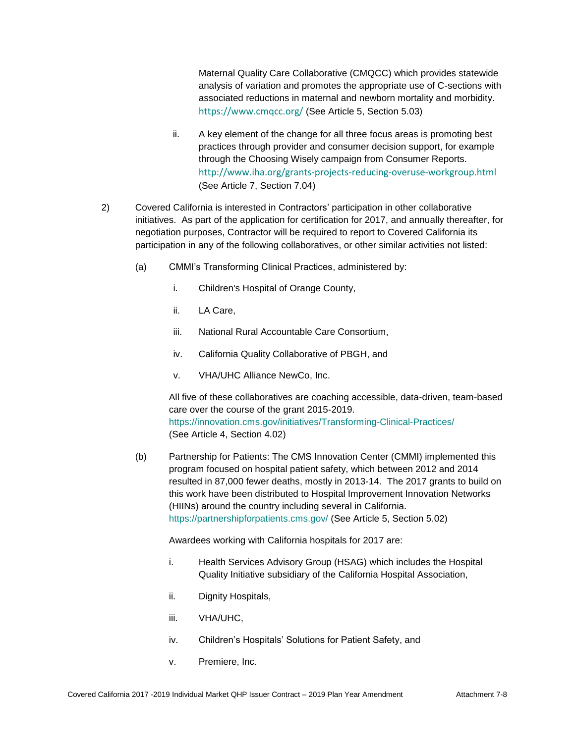Maternal Quality Care Collaborative (CMQCC) which provides statewide analysis of variation and promotes the appropriate use of C-sections with associated reductions in maternal and newborn mortality and morbidity. <https://www.cmqcc.org/> (See Article 5, Section 5.03)

- ii. A key element of the change for all three focus areas is promoting best practices through provider and consumer decision support, for example through the Choosing Wisely campaign from Consumer Reports. <http://www.iha.org/grants-projects-reducing-overuse-workgroup.html> (See Article 7, Section 7.04)
- 2) Covered California is interested in Contractors' participation in other collaborative initiatives. As part of the application for certification for 2017, and annually thereafter, for negotiation purposes, Contractor will be required to report to Covered California its participation in any of the following collaboratives, or other similar activities not listed:
	- (a) CMMI's Transforming Clinical Practices, administered by:
		- i. Children's Hospital of Orange County,
		- ii. LA Care,
		- iii. National Rural Accountable Care Consortium,
		- iv. California Quality Collaborative of PBGH, and
		- v. VHA/UHC Alliance NewCo, Inc.

All five of these collaboratives are coaching accessible, data-driven, team-based care over the course of the grant 2015-2019. <https://innovation.cms.gov/initiatives/Transforming-Clinical-Practices/> (See Article 4, Section 4.02)

(b) Partnership for Patients: The CMS Innovation Center (CMMI) implemented this program focused on hospital patient safety, which between 2012 and 2014 resulted in 87,000 fewer deaths, mostly in 2013-14. The 2017 grants to build on this work have been distributed to Hospital Improvement Innovation Networks (HIINs) around the country including several in California. <https://partnershipforpatients.cms.gov/> (See Article 5, Section 5.02)

Awardees working with California hospitals for 2017 are:

- i. Health Services Advisory Group (HSAG) which includes the Hospital Quality Initiative subsidiary of the California Hospital Association,
- ii. Dignity Hospitals,
- iii. VHA/UHC,
- iv. Children's Hospitals' Solutions for Patient Safety, and
- v. Premiere, Inc.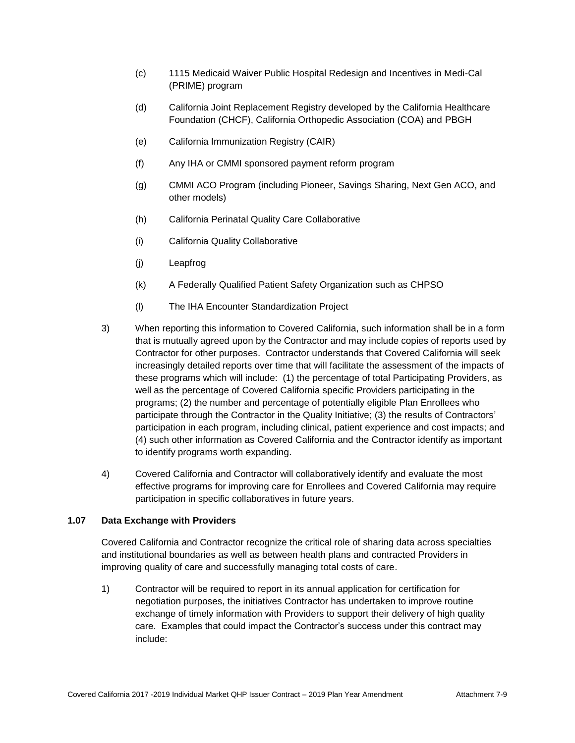- (c) 1115 Medicaid Waiver Public Hospital Redesign and Incentives in Medi-Cal (PRIME) program
- (d) California Joint Replacement Registry developed by the California Healthcare Foundation (CHCF), California Orthopedic Association (COA) and PBGH
- (e) California Immunization Registry (CAIR)
- (f) Any IHA or CMMI sponsored payment reform program
- (g) CMMI ACO Program (including Pioneer, Savings Sharing, Next Gen ACO, and other models)
- (h) California Perinatal Quality Care Collaborative
- (i) California Quality Collaborative
- (j) Leapfrog
- (k) A Federally Qualified Patient Safety Organization such as CHPSO
- (l) The IHA Encounter Standardization Project
- 3) When reporting this information to Covered California, such information shall be in a form that is mutually agreed upon by the Contractor and may include copies of reports used by Contractor for other purposes. Contractor understands that Covered California will seek increasingly detailed reports over time that will facilitate the assessment of the impacts of these programs which will include: (1) the percentage of total Participating Providers, as well as the percentage of Covered California specific Providers participating in the programs; (2) the number and percentage of potentially eligible Plan Enrollees who participate through the Contractor in the Quality Initiative; (3) the results of Contractors' participation in each program, including clinical, patient experience and cost impacts; and (4) such other information as Covered California and the Contractor identify as important to identify programs worth expanding.
- 4) Covered California and Contractor will collaboratively identify and evaluate the most effective programs for improving care for Enrollees and Covered California may require participation in specific collaboratives in future years.

# **1.07 Data Exchange with Providers**

Covered California and Contractor recognize the critical role of sharing data across specialties and institutional boundaries as well as between health plans and contracted Providers in improving quality of care and successfully managing total costs of care.

1) Contractor will be required to report in its annual application for certification for negotiation purposes, the initiatives Contractor has undertaken to improve routine exchange of timely information with Providers to support their delivery of high quality care. Examples that could impact the Contractor's success under this contract may include: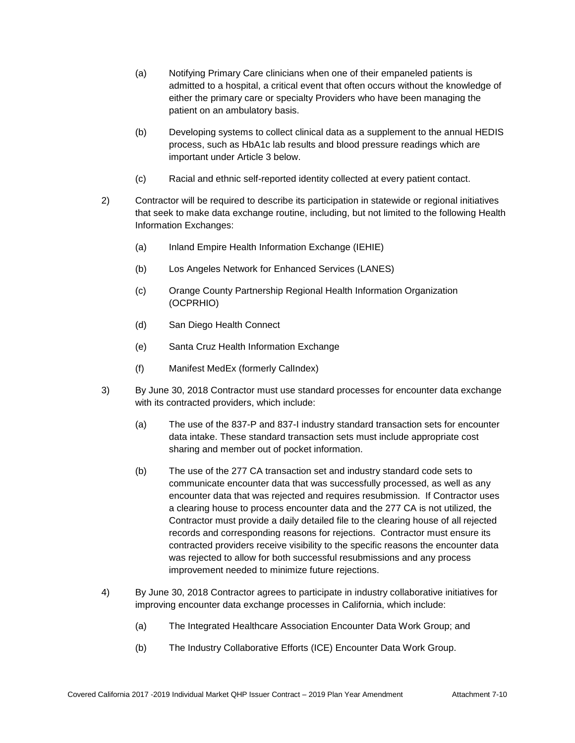- (a) Notifying Primary Care clinicians when one of their empaneled patients is admitted to a hospital, a critical event that often occurs without the knowledge of either the primary care or specialty Providers who have been managing the patient on an ambulatory basis.
- (b) Developing systems to collect clinical data as a supplement to the annual HEDIS process, such as HbA1c lab results and blood pressure readings which are important under Article 3 below.
- (c) Racial and ethnic self-reported identity collected at every patient contact.
- 2) Contractor will be required to describe its participation in statewide or regional initiatives that seek to make data exchange routine, including, but not limited to the following Health Information Exchanges:
	- (a) Inland Empire Health Information Exchange (IEHIE)
	- (b) Los Angeles Network for Enhanced Services (LANES)
	- (c) Orange County Partnership Regional Health Information Organization (OCPRHIO)
	- (d) San Diego Health Connect
	- (e) Santa Cruz Health Information Exchange
	- (f) Manifest MedEx (formerly CalIndex)
- 3) By June 30, 2018 Contractor must use standard processes for encounter data exchange with its contracted providers, which include:
	- (a) The use of the 837-P and 837-I industry standard transaction sets for encounter data intake. These standard transaction sets must include appropriate cost sharing and member out of pocket information.
	- (b) The use of the 277 CA transaction set and industry standard code sets to communicate encounter data that was successfully processed, as well as any encounter data that was rejected and requires resubmission. If Contractor uses a clearing house to process encounter data and the 277 CA is not utilized, the Contractor must provide a daily detailed file to the clearing house of all rejected records and corresponding reasons for rejections. Contractor must ensure its contracted providers receive visibility to the specific reasons the encounter data was rejected to allow for both successful resubmissions and any process improvement needed to minimize future rejections.
- 4) By June 30, 2018 Contractor agrees to participate in industry collaborative initiatives for improving encounter data exchange processes in California, which include:
	- (a) The Integrated Healthcare Association Encounter Data Work Group; and
	- (b) The Industry Collaborative Efforts (ICE) Encounter Data Work Group.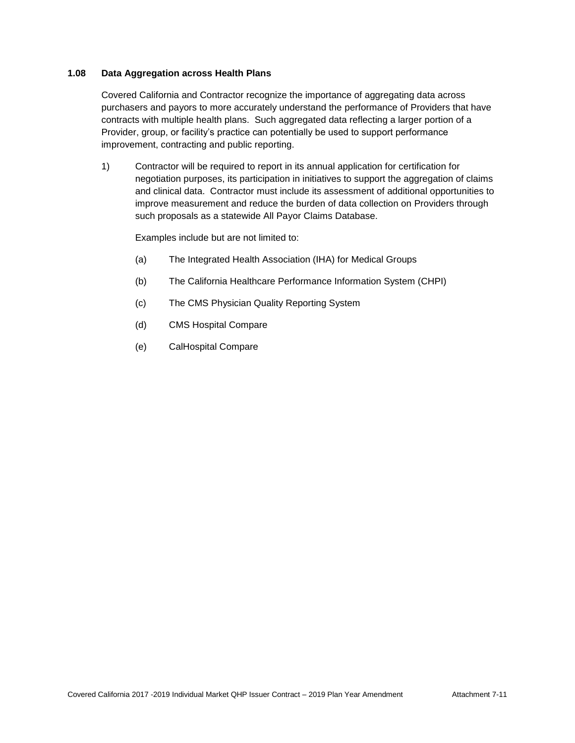# **1.08 Data Aggregation across Health Plans**

Covered California and Contractor recognize the importance of aggregating data across purchasers and payors to more accurately understand the performance of Providers that have contracts with multiple health plans. Such aggregated data reflecting a larger portion of a Provider, group, or facility's practice can potentially be used to support performance improvement, contracting and public reporting.

1) Contractor will be required to report in its annual application for certification for negotiation purposes, its participation in initiatives to support the aggregation of claims and clinical data. Contractor must include its assessment of additional opportunities to improve measurement and reduce the burden of data collection on Providers through such proposals as a statewide All Payor Claims Database.

Examples include but are not limited to:

- (a) The Integrated Health Association (IHA) for Medical Groups
- (b) The California Healthcare Performance Information System (CHPI)
- (c) The CMS Physician Quality Reporting System
- (d) CMS Hospital Compare
- (e) CalHospital Compare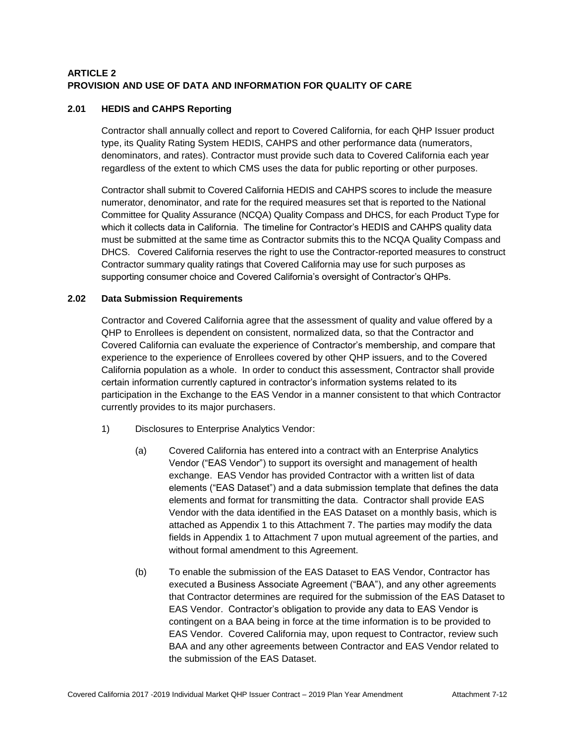# **ARTICLE 2 PROVISION AND USE OF DATA AND INFORMATION FOR QUALITY OF CARE**

# **2.01 HEDIS and CAHPS Reporting**

Contractor shall annually collect and report to Covered California, for each QHP Issuer product type, its Quality Rating System HEDIS, CAHPS and other performance data (numerators, denominators, and rates). Contractor must provide such data to Covered California each year regardless of the extent to which CMS uses the data for public reporting or other purposes.

Contractor shall submit to Covered California HEDIS and CAHPS scores to include the measure numerator, denominator, and rate for the required measures set that is reported to the National Committee for Quality Assurance (NCQA) Quality Compass and DHCS, for each Product Type for which it collects data in California. The timeline for Contractor's HEDIS and CAHPS quality data must be submitted at the same time as Contractor submits this to the NCQA Quality Compass and DHCS. Covered California reserves the right to use the Contractor-reported measures to construct Contractor summary quality ratings that Covered California may use for such purposes as supporting consumer choice and Covered California's oversight of Contractor's QHPs.

# **2.02 Data Submission Requirements**

Contractor and Covered California agree that the assessment of quality and value offered by a QHP to Enrollees is dependent on consistent, normalized data, so that the Contractor and Covered California can evaluate the experience of Contractor's membership, and compare that experience to the experience of Enrollees covered by other QHP issuers, and to the Covered California population as a whole. In order to conduct this assessment, Contractor shall provide certain information currently captured in contractor's information systems related to its participation in the Exchange to the EAS Vendor in a manner consistent to that which Contractor currently provides to its major purchasers.

- 1) Disclosures to Enterprise Analytics Vendor:
	- (a) Covered California has entered into a contract with an Enterprise Analytics Vendor ("EAS Vendor") to support its oversight and management of health exchange. EAS Vendor has provided Contractor with a written list of data elements ("EAS Dataset") and a data submission template that defines the data elements and format for transmitting the data. Contractor shall provide EAS Vendor with the data identified in the EAS Dataset on a monthly basis, which is attached as Appendix 1 to this Attachment 7. The parties may modify the data fields in Appendix 1 to Attachment 7 upon mutual agreement of the parties, and without formal amendment to this Agreement.
	- (b) To enable the submission of the EAS Dataset to EAS Vendor, Contractor has executed a Business Associate Agreement ("BAA"), and any other agreements that Contractor determines are required for the submission of the EAS Dataset to EAS Vendor. Contractor's obligation to provide any data to EAS Vendor is contingent on a BAA being in force at the time information is to be provided to EAS Vendor. Covered California may, upon request to Contractor, review such BAA and any other agreements between Contractor and EAS Vendor related to the submission of the EAS Dataset.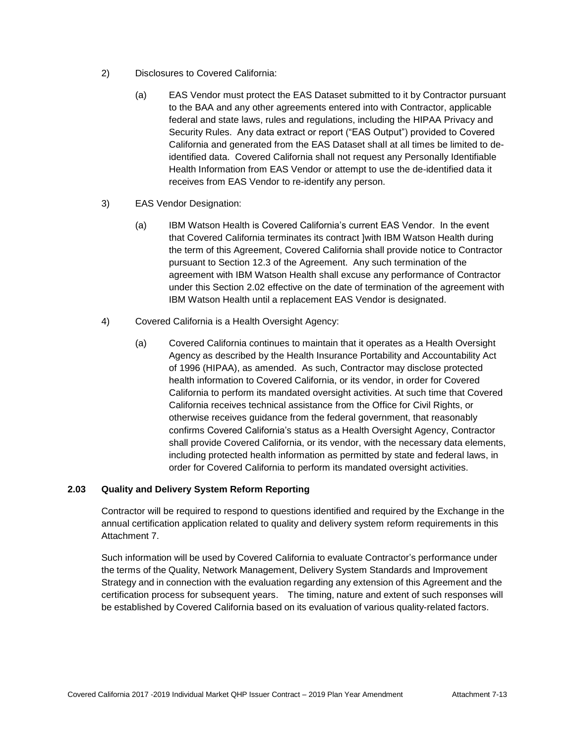- 2) Disclosures to Covered California:
	- (a) EAS Vendor must protect the EAS Dataset submitted to it by Contractor pursuant to the BAA and any other agreements entered into with Contractor, applicable federal and state laws, rules and regulations, including the HIPAA Privacy and Security Rules. Any data extract or report ("EAS Output") provided to Covered California and generated from the EAS Dataset shall at all times be limited to deidentified data. Covered California shall not request any Personally Identifiable Health Information from EAS Vendor or attempt to use the de-identified data it receives from EAS Vendor to re-identify any person.
- 3) EAS Vendor Designation:
	- (a) IBM Watson Health is Covered California's current EAS Vendor. In the event that Covered California terminates its contract ]with IBM Watson Health during the term of this Agreement, Covered California shall provide notice to Contractor pursuant to Section 12.3 of the Agreement. Any such termination of the agreement with IBM Watson Health shall excuse any performance of Contractor under this Section 2.02 effective on the date of termination of the agreement with IBM Watson Health until a replacement EAS Vendor is designated.
- 4) Covered California is a Health Oversight Agency:
	- (a) Covered California continues to maintain that it operates as a Health Oversight Agency as described by the Health Insurance Portability and Accountability Act of 1996 (HIPAA), as amended. As such, Contractor may disclose protected health information to Covered California, or its vendor, in order for Covered California to perform its mandated oversight activities. At such time that Covered California receives technical assistance from the Office for Civil Rights, or otherwise receives guidance from the federal government, that reasonably confirms Covered California's status as a Health Oversight Agency, Contractor shall provide Covered California, or its vendor, with the necessary data elements, including protected health information as permitted by state and federal laws, in order for Covered California to perform its mandated oversight activities.

# **2.03 Quality and Delivery System Reform Reporting**

Contractor will be required to respond to questions identified and required by the Exchange in the annual certification application related to quality and delivery system reform requirements in this Attachment 7.

Such information will be used by Covered California to evaluate Contractor's performance under the terms of the Quality, Network Management, Delivery System Standards and Improvement Strategy and in connection with the evaluation regarding any extension of this Agreement and the certification process for subsequent years. The timing, nature and extent of such responses will be established by Covered California based on its evaluation of various quality-related factors.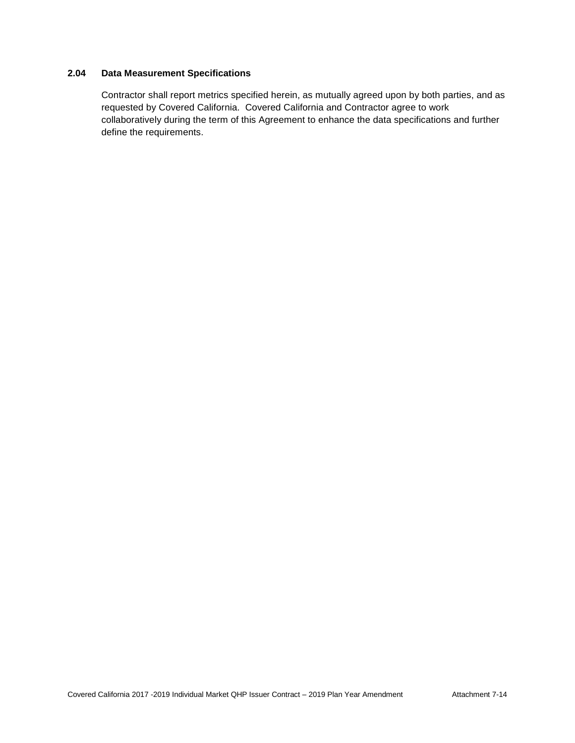# **2.04 Data Measurement Specifications**

Contractor shall report metrics specified herein, as mutually agreed upon by both parties, and as requested by Covered California. Covered California and Contractor agree to work collaboratively during the term of this Agreement to enhance the data specifications and further define the requirements.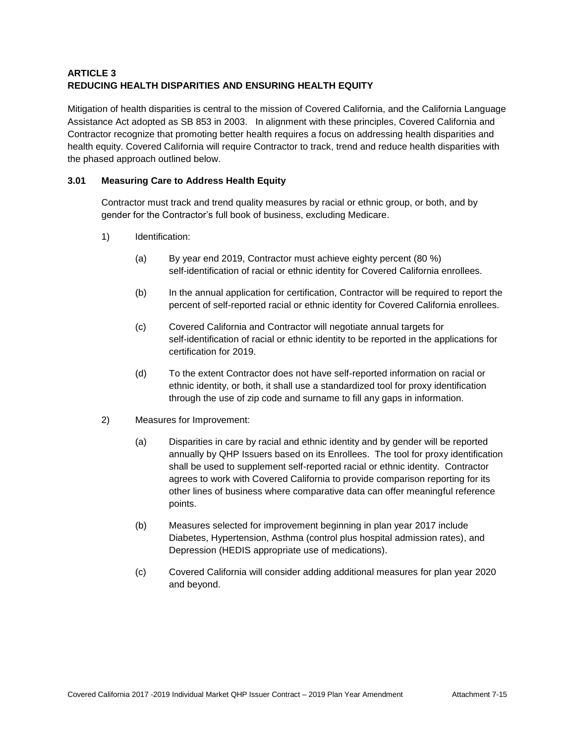# **ARTICLE 3 REDUCING HEALTH DISPARITIES AND ENSURING HEALTH EQUITY**

Mitigation of health disparities is central to the mission of Covered California, and the California Language Assistance Act adopted as SB 853 in 2003. In alignment with these principles, Covered California and Contractor recognize that promoting better health requires a focus on addressing health disparities and health equity. Covered California will require Contractor to track, trend and reduce health disparities with the phased approach outlined below.

# **3.01 Measuring Care to Address Health Equity**

Contractor must track and trend quality measures by racial or ethnic group, or both, and by gender for the Contractor's full book of business, excluding Medicare.

- 1) Identification:
	- (a) By year end 2019, Contractor must achieve eighty percent (80 %) self-identification of racial or ethnic identity for Covered California enrollees.
	- (b) In the annual application for certification, Contractor will be required to report the percent of self-reported racial or ethnic identity for Covered California enrollees.
	- (c) Covered California and Contractor will negotiate annual targets for self-identification of racial or ethnic identity to be reported in the applications for certification for 2019.
	- (d) To the extent Contractor does not have self-reported information on racial or ethnic identity, or both, it shall use a standardized tool for proxy identification through the use of zip code and surname to fill any gaps in information.
- 2) Measures for Improvement:
	- (a) Disparities in care by racial and ethnic identity and by gender will be reported annually by QHP Issuers based on its Enrollees. The tool for proxy identification shall be used to supplement self-reported racial or ethnic identity. Contractor agrees to work with Covered California to provide comparison reporting for its other lines of business where comparative data can offer meaningful reference points.
	- (b) Measures selected for improvement beginning in plan year 2017 include Diabetes, Hypertension, Asthma (control plus hospital admission rates), and Depression (HEDIS appropriate use of medications).
	- (c) Covered California will consider adding additional measures for plan year 2020 and beyond.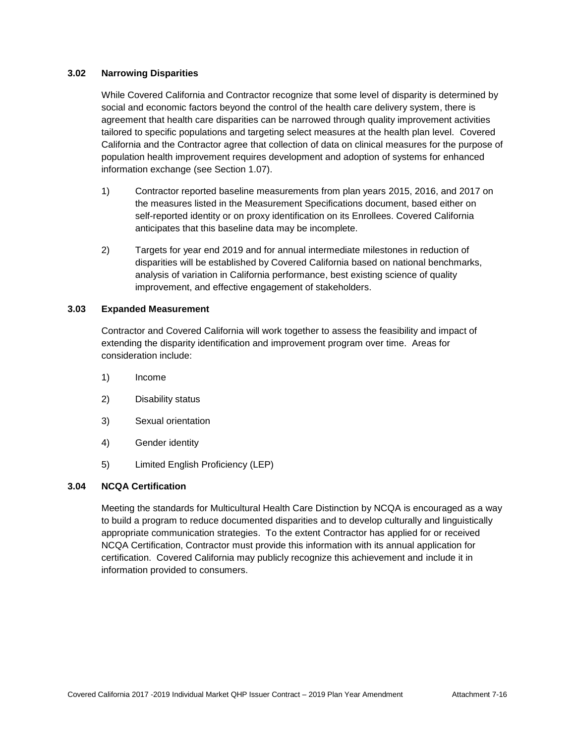#### **3.02 Narrowing Disparities**

While Covered California and Contractor recognize that some level of disparity is determined by social and economic factors beyond the control of the health care delivery system, there is agreement that health care disparities can be narrowed through quality improvement activities tailored to specific populations and targeting select measures at the health plan level. Covered California and the Contractor agree that collection of data on clinical measures for the purpose of population health improvement requires development and adoption of systems for enhanced information exchange (see Section 1.07).

- 1) Contractor reported baseline measurements from plan years 2015, 2016, and 2017 on the measures listed in the Measurement Specifications document, based either on self-reported identity or on proxy identification on its Enrollees. Covered California anticipates that this baseline data may be incomplete.
- 2) Targets for year end 2019 and for annual intermediate milestones in reduction of disparities will be established by Covered California based on national benchmarks, analysis of variation in California performance, best existing science of quality improvement, and effective engagement of stakeholders.

# **3.03 Expanded Measurement**

Contractor and Covered California will work together to assess the feasibility and impact of extending the disparity identification and improvement program over time. Areas for consideration include:

- 1) Income
- 2) Disability status
- 3) Sexual orientation
- 4) Gender identity
- 5) Limited English Proficiency (LEP)

# **3.04 NCQA Certification**

Meeting the standards for Multicultural Health Care Distinction by NCQA is encouraged as a way to build a program to reduce documented disparities and to develop culturally and linguistically appropriate communication strategies. To the extent Contractor has applied for or received NCQA Certification, Contractor must provide this information with its annual application for certification. Covered California may publicly recognize this achievement and include it in information provided to consumers.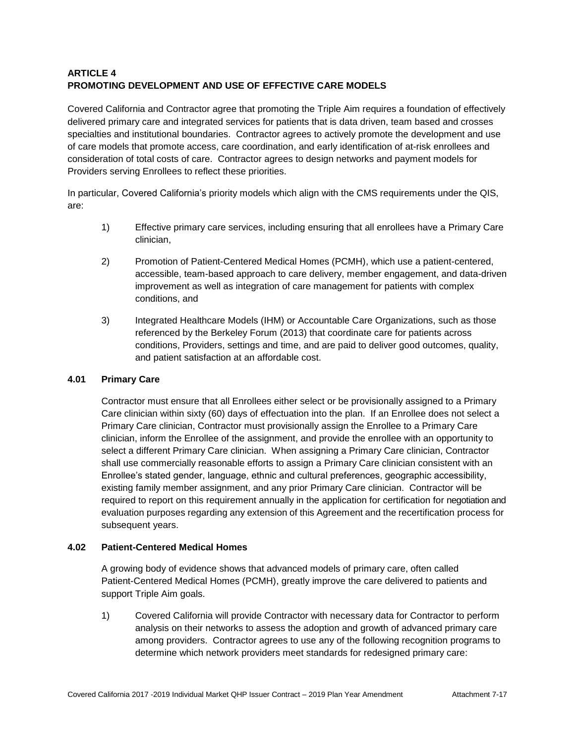# **ARTICLE 4 PROMOTING DEVELOPMENT AND USE OF EFFECTIVE CARE MODELS**

Covered California and Contractor agree that promoting the Triple Aim requires a foundation of effectively delivered primary care and integrated services for patients that is data driven, team based and crosses specialties and institutional boundaries. Contractor agrees to actively promote the development and use of care models that promote access, care coordination, and early identification of at-risk enrollees and consideration of total costs of care. Contractor agrees to design networks and payment models for Providers serving Enrollees to reflect these priorities.

In particular, Covered California's priority models which align with the CMS requirements under the QIS, are:

- 1) Effective primary care services, including ensuring that all enrollees have a Primary Care clinician,
- 2) Promotion of Patient-Centered Medical Homes (PCMH), which use a patient-centered, accessible, team-based approach to care delivery, member engagement, and data-driven improvement as well as integration of care management for patients with complex conditions, and
- 3) Integrated Healthcare Models (IHM) or Accountable Care Organizations, such as those referenced by the Berkeley Forum (2013) that coordinate care for patients across conditions, Providers, settings and time, and are paid to deliver good outcomes, quality, and patient satisfaction at an affordable cost.

# **4.01 Primary Care**

Contractor must ensure that all Enrollees either select or be provisionally assigned to a Primary Care clinician within sixty (60) days of effectuation into the plan. If an Enrollee does not select a Primary Care clinician, Contractor must provisionally assign the Enrollee to a Primary Care clinician, inform the Enrollee of the assignment, and provide the enrollee with an opportunity to select a different Primary Care clinician. When assigning a Primary Care clinician, Contractor shall use commercially reasonable efforts to assign a Primary Care clinician consistent with an Enrollee's stated gender, language, ethnic and cultural preferences, geographic accessibility, existing family member assignment, and any prior Primary Care clinician. Contractor will be required to report on this requirement annually in the application for certification for negotiation and evaluation purposes regarding any extension of this Agreement and the recertification process for subsequent years.

# **4.02 Patient-Centered Medical Homes**

A growing body of evidence shows that advanced models of primary care, often called Patient-Centered Medical Homes (PCMH), greatly improve the care delivered to patients and support Triple Aim goals.

1) Covered California will provide Contractor with necessary data for Contractor to perform analysis on their networks to assess the adoption and growth of advanced primary care among providers. Contractor agrees to use any of the following recognition programs to determine which network providers meet standards for redesigned primary care: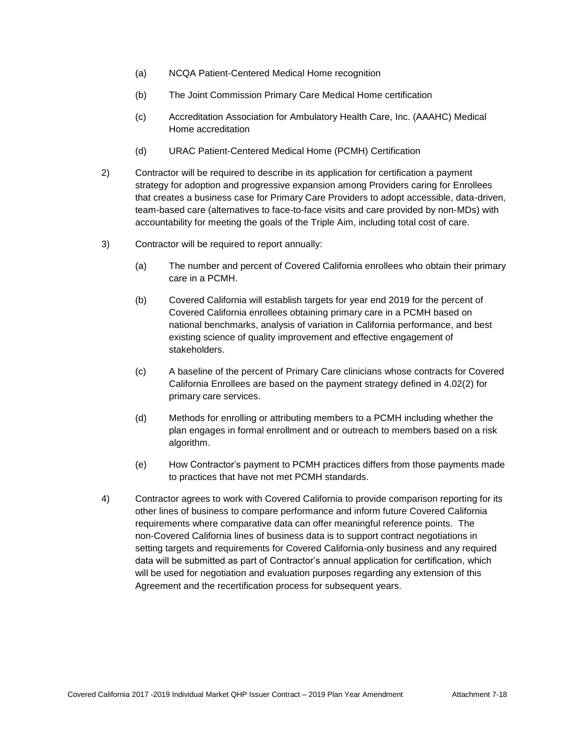- (a) NCQA Patient-Centered Medical Home recognition
- (b) The Joint Commission Primary Care Medical Home certification
- (c) Accreditation Association for Ambulatory Health Care, Inc. (AAAHC) Medical Home accreditation
- (d) URAC Patient-Centered Medical Home (PCMH) Certification
- 2) Contractor will be required to describe in its application for certification a payment strategy for adoption and progressive expansion among Providers caring for Enrollees that creates a business case for Primary Care Providers to adopt accessible, data-driven, team-based care (alternatives to face-to-face visits and care provided by non-MDs) with accountability for meeting the goals of the Triple Aim, including total cost of care.
- 3) Contractor will be required to report annually:
	- (a) The number and percent of Covered California enrollees who obtain their primary care in a PCMH.
	- (b) Covered California will establish targets for year end 2019 for the percent of Covered California enrollees obtaining primary care in a PCMH based on national benchmarks, analysis of variation in California performance, and best existing science of quality improvement and effective engagement of stakeholders.
	- (c) A baseline of the percent of Primary Care clinicians whose contracts for Covered California Enrollees are based on the payment strategy defined in 4.02(2) for primary care services.
	- (d) Methods for enrolling or attributing members to a PCMH including whether the plan engages in formal enrollment and or outreach to members based on a risk algorithm.
	- (e) How Contractor's payment to PCMH practices differs from those payments made to practices that have not met PCMH standards.
- 4) Contractor agrees to work with Covered California to provide comparison reporting for its other lines of business to compare performance and inform future Covered California requirements where comparative data can offer meaningful reference points. The non-Covered California lines of business data is to support contract negotiations in setting targets and requirements for Covered California-only business and any required data will be submitted as part of Contractor's annual application for certification, which will be used for negotiation and evaluation purposes regarding any extension of this Agreement and the recertification process for subsequent years.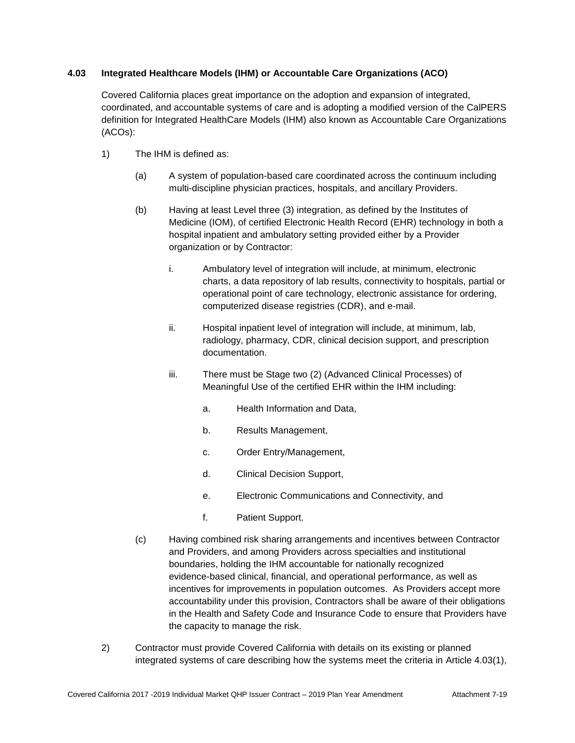# **4.03 Integrated Healthcare Models (IHM) or Accountable Care Organizations (ACO)**

Covered California places great importance on the adoption and expansion of integrated, coordinated, and accountable systems of care and is adopting a modified version of the CalPERS definition for Integrated HealthCare Models (IHM) also known as Accountable Care Organizations (ACOs):

- 1) The IHM is defined as:
	- (a) A system of population-based care coordinated across the continuum including multi-discipline physician practices, hospitals, and ancillary Providers.
	- (b) Having at least Level three (3) integration, as defined by the Institutes of Medicine (IOM), of certified Electronic Health Record (EHR) technology in both a hospital inpatient and ambulatory setting provided either by a Provider organization or by Contractor:
		- i. Ambulatory level of integration will include, at minimum, electronic charts, a data repository of lab results, connectivity to hospitals, partial or operational point of care technology, electronic assistance for ordering, computerized disease registries (CDR), and e-mail.
		- ii. Hospital inpatient level of integration will include, at minimum, lab, radiology, pharmacy, CDR, clinical decision support, and prescription documentation.
		- iii. There must be Stage two (2) (Advanced Clinical Processes) of Meaningful Use of the certified EHR within the IHM including:
			- a. Health Information and Data,
			- b. Results Management,
			- c. Order Entry/Management,
			- d. Clinical Decision Support,
			- e. Electronic Communications and Connectivity, and
			- f. Patient Support.
	- (c) Having combined risk sharing arrangements and incentives between Contractor and Providers, and among Providers across specialties and institutional boundaries, holding the IHM accountable for nationally recognized evidence-based clinical, financial, and operational performance, as well as incentives for improvements in population outcomes. As Providers accept more accountability under this provision, Contractors shall be aware of their obligations in the Health and Safety Code and Insurance Code to ensure that Providers have the capacity to manage the risk.
- 2) Contractor must provide Covered California with details on its existing or planned integrated systems of care describing how the systems meet the criteria in Article 4.03(1),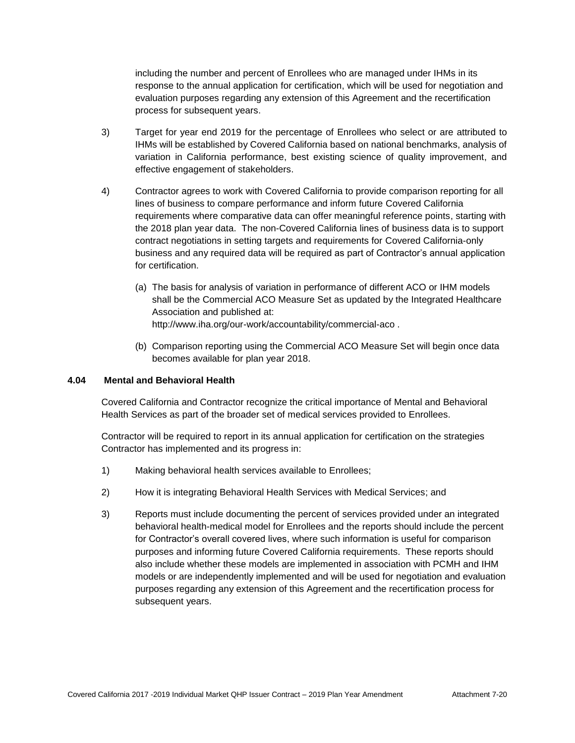including the number and percent of Enrollees who are managed under IHMs in its response to the annual application for certification, which will be used for negotiation and evaluation purposes regarding any extension of this Agreement and the recertification process for subsequent years.

- 3) Target for year end 2019 for the percentage of Enrollees who select or are attributed to IHMs will be established by Covered California based on national benchmarks, analysis of variation in California performance, best existing science of quality improvement, and effective engagement of stakeholders.
- 4) Contractor agrees to work with Covered California to provide comparison reporting for all lines of business to compare performance and inform future Covered California requirements where comparative data can offer meaningful reference points, starting with the 2018 plan year data. The non-Covered California lines of business data is to support contract negotiations in setting targets and requirements for Covered California-only business and any required data will be required as part of Contractor's annual application for certification.
	- (a) The basis for analysis of variation in performance of different ACO or IHM models shall be the Commercial ACO Measure Set as updated by the Integrated Healthcare Association and published at: <http://www.iha.org/our-work/accountability/commercial-aco> .
	- (b) Comparison reporting using the Commercial ACO Measure Set will begin once data becomes available for plan year 2018.

#### **4.04 Mental and Behavioral Health**

Covered California and Contractor recognize the critical importance of Mental and Behavioral Health Services as part of the broader set of medical services provided to Enrollees.

Contractor will be required to report in its annual application for certification on the strategies Contractor has implemented and its progress in:

- 1) Making behavioral health services available to Enrollees;
- 2) How it is integrating Behavioral Health Services with Medical Services; and
- 3) Reports must include documenting the percent of services provided under an integrated behavioral health-medical model for Enrollees and the reports should include the percent for Contractor's overall covered lives, where such information is useful for comparison purposes and informing future Covered California requirements. These reports should also include whether these models are implemented in association with PCMH and IHM models or are independently implemented and will be used for negotiation and evaluation purposes regarding any extension of this Agreement and the recertification process for subsequent years.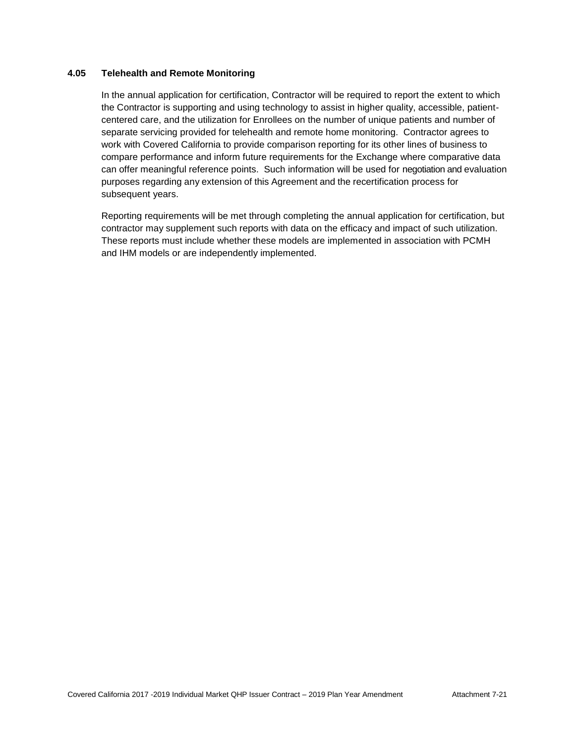## **4.05 Telehealth and Remote Monitoring**

In the annual application for certification, Contractor will be required to report the extent to which the Contractor is supporting and using technology to assist in higher quality, accessible, patientcentered care, and the utilization for Enrollees on the number of unique patients and number of separate servicing provided for telehealth and remote home monitoring. Contractor agrees to work with Covered California to provide comparison reporting for its other lines of business to compare performance and inform future requirements for the Exchange where comparative data can offer meaningful reference points. Such information will be used for negotiation and evaluation purposes regarding any extension of this Agreement and the recertification process for subsequent years.

Reporting requirements will be met through completing the annual application for certification, but contractor may supplement such reports with data on the efficacy and impact of such utilization. These reports must include whether these models are implemented in association with PCMH and IHM models or are independently implemented.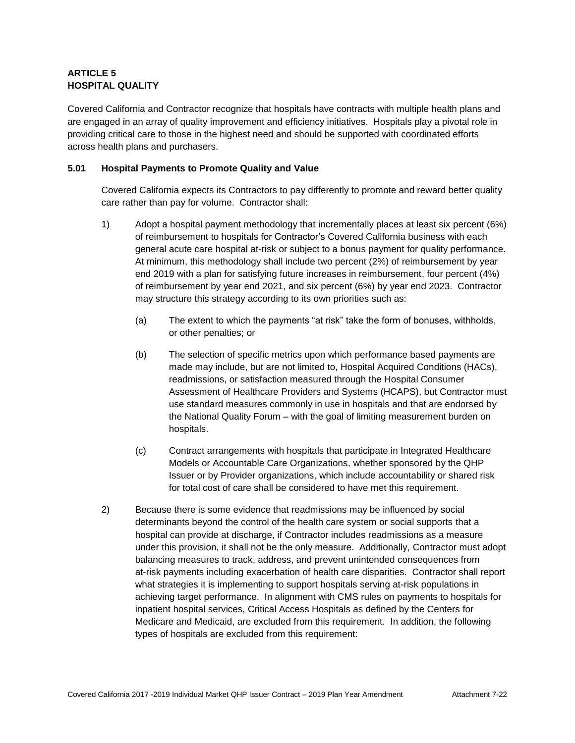# **ARTICLE 5 HOSPITAL QUALITY**

Covered California and Contractor recognize that hospitals have contracts with multiple health plans and are engaged in an array of quality improvement and efficiency initiatives. Hospitals play a pivotal role in providing critical care to those in the highest need and should be supported with coordinated efforts across health plans and purchasers.

# **5.01 Hospital Payments to Promote Quality and Value**

Covered California expects its Contractors to pay differently to promote and reward better quality care rather than pay for volume. Contractor shall:

- 1) Adopt a hospital payment methodology that incrementally places at least six percent (6%) of reimbursement to hospitals for Contractor's Covered California business with each general acute care hospital at-risk or subject to a bonus payment for quality performance. At minimum, this methodology shall include two percent (2%) of reimbursement by year end 2019 with a plan for satisfying future increases in reimbursement, four percent (4%) of reimbursement by year end 2021, and six percent (6%) by year end 2023. Contractor may structure this strategy according to its own priorities such as:
	- (a) The extent to which the payments "at risk" take the form of bonuses, withholds, or other penalties; or
	- (b) The selection of specific metrics upon which performance based payments are made may include, but are not limited to, Hospital Acquired Conditions (HACs), readmissions, or satisfaction measured through the Hospital Consumer Assessment of Healthcare Providers and Systems (HCAPS), but Contractor must use standard measures commonly in use in hospitals and that are endorsed by the National Quality Forum – with the goal of limiting measurement burden on hospitals.
	- (c) Contract arrangements with hospitals that participate in Integrated Healthcare Models or Accountable Care Organizations, whether sponsored by the QHP Issuer or by Provider organizations, which include accountability or shared risk for total cost of care shall be considered to have met this requirement.
- 2) Because there is some evidence that readmissions may be influenced by social determinants beyond the control of the health care system or social supports that a hospital can provide at discharge, if Contractor includes readmissions as a measure under this provision, it shall not be the only measure. Additionally, Contractor must adopt balancing measures to track, address, and prevent unintended consequences from at-risk payments including exacerbation of health care disparities. Contractor shall report what strategies it is implementing to support hospitals serving at-risk populations in achieving target performance. In alignment with CMS rules on payments to hospitals for inpatient hospital services, Critical Access Hospitals as defined by the Centers for Medicare and Medicaid, are excluded from this requirement. In addition, the following types of hospitals are excluded from this requirement: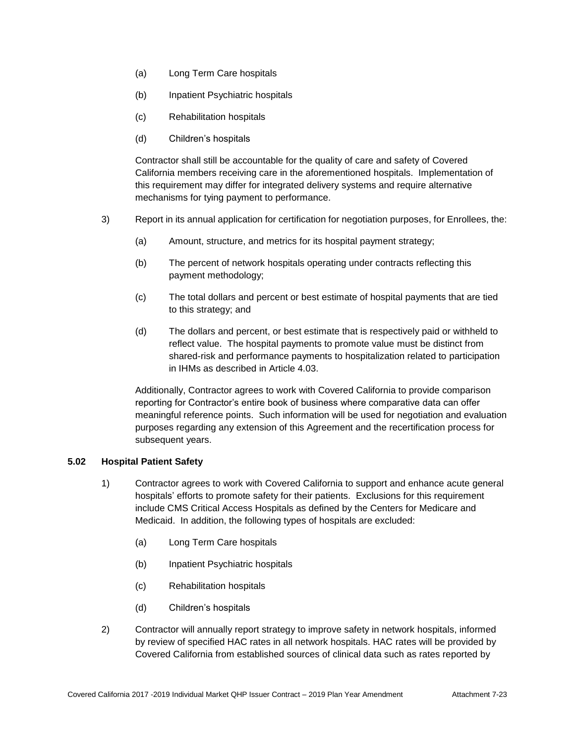- (a) Long Term Care hospitals
- (b) Inpatient Psychiatric hospitals
- (c) Rehabilitation hospitals
- (d) Children's hospitals

Contractor shall still be accountable for the quality of care and safety of Covered California members receiving care in the aforementioned hospitals. Implementation of this requirement may differ for integrated delivery systems and require alternative mechanisms for tying payment to performance.

- 3) Report in its annual application for certification for negotiation purposes, for Enrollees, the:
	- (a) Amount, structure, and metrics for its hospital payment strategy;
	- (b) The percent of network hospitals operating under contracts reflecting this payment methodology;
	- (c) The total dollars and percent or best estimate of hospital payments that are tied to this strategy; and
	- (d) The dollars and percent, or best estimate that is respectively paid or withheld to reflect value. The hospital payments to promote value must be distinct from shared-risk and performance payments to hospitalization related to participation in IHMs as described in Article 4.03.

Additionally, Contractor agrees to work with Covered California to provide comparison reporting for Contractor's entire book of business where comparative data can offer meaningful reference points. Such information will be used for negotiation and evaluation purposes regarding any extension of this Agreement and the recertification process for subsequent years.

#### **5.02 Hospital Patient Safety**

- 1) Contractor agrees to work with Covered California to support and enhance acute general hospitals' efforts to promote safety for their patients. Exclusions for this requirement include CMS Critical Access Hospitals as defined by the Centers for Medicare and Medicaid. In addition, the following types of hospitals are excluded:
	- (a) Long Term Care hospitals
	- (b) Inpatient Psychiatric hospitals
	- (c) Rehabilitation hospitals
	- (d) Children's hospitals
- 2) Contractor will annually report strategy to improve safety in network hospitals, informed by review of specified HAC rates in all network hospitals. HAC rates will be provided by Covered California from established sources of clinical data such as rates reported by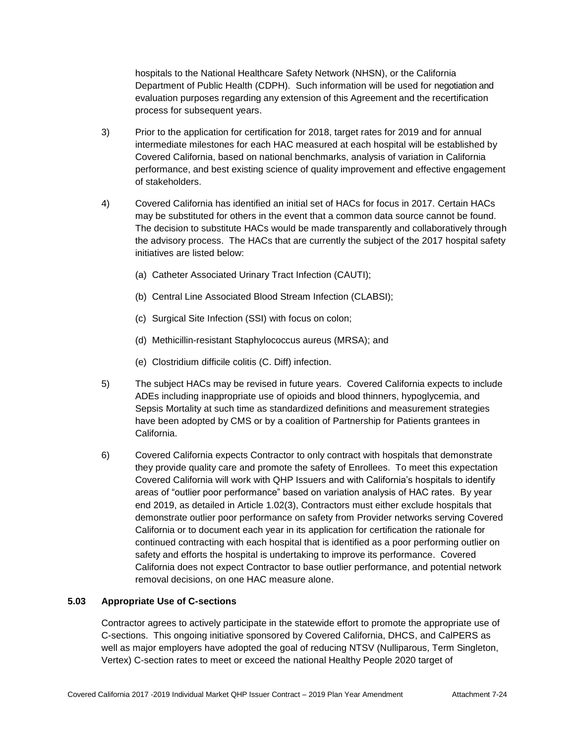hospitals to the National Healthcare Safety Network (NHSN), or the California Department of Public Health (CDPH). Such information will be used for negotiation and evaluation purposes regarding any extension of this Agreement and the recertification process for subsequent years.

- 3) Prior to the application for certification for 2018, target rates for 2019 and for annual intermediate milestones for each HAC measured at each hospital will be established by Covered California, based on national benchmarks, analysis of variation in California performance, and best existing science of quality improvement and effective engagement of stakeholders.
- 4) Covered California has identified an initial set of HACs for focus in 2017. Certain HACs may be substituted for others in the event that a common data source cannot be found. The decision to substitute HACs would be made transparently and collaboratively through the advisory process. The HACs that are currently the subject of the 2017 hospital safety initiatives are listed below:
	- (a) Catheter Associated Urinary Tract Infection (CAUTI);
	- (b) Central Line Associated Blood Stream Infection (CLABSI);
	- (c) Surgical Site Infection (SSI) with focus on colon;
	- (d) Methicillin-resistant Staphylococcus aureus (MRSA); and
	- (e) Clostridium difficile [colitis](http://www.webmd.com/ibd-crohns-disease/ulcerative-colitis/default.htm) (C. Diff) infection.
- 5) The subject HACs may be revised in future years. Covered California expects to include ADEs including inappropriate use of opioids and blood thinners, hypoglycemia, and Sepsis Mortality at such time as standardized definitions and measurement strategies have been adopted by CMS or by a coalition of Partnership for Patients grantees in California.
- 6) Covered California expects Contractor to only contract with hospitals that demonstrate they provide quality care and promote the safety of Enrollees. To meet this expectation Covered California will work with QHP Issuers and with California's hospitals to identify areas of "outlier poor performance" based on variation analysis of HAC rates. By year end 2019, as detailed in Article 1.02(3), Contractors must either exclude hospitals that demonstrate outlier poor performance on safety from Provider networks serving Covered California or to document each year in its application for certification the rationale for continued contracting with each hospital that is identified as a poor performing outlier on safety and efforts the hospital is undertaking to improve its performance. Covered California does not expect Contractor to base outlier performance, and potential network removal decisions, on one HAC measure alone.

#### **5.03 Appropriate Use of C-sections**

Contractor agrees to actively participate in the statewide effort to promote the appropriate use of C-sections. This ongoing initiative sponsored by Covered California, DHCS, and CalPERS as well as major employers have adopted the goal of reducing NTSV (Nulliparous, Term Singleton, Vertex) C-section rates to meet or exceed the national Healthy People 2020 target of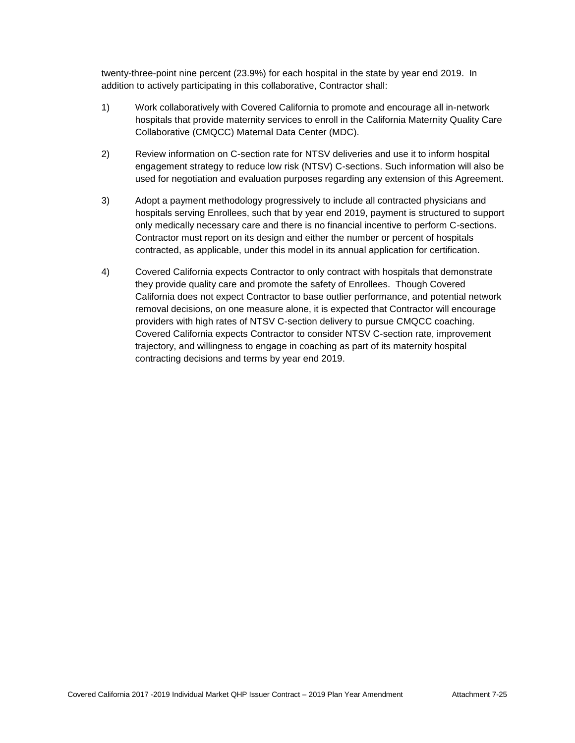twenty-three-point nine percent (23.9%) for each hospital in the state by year end 2019. In addition to actively participating in this collaborative, Contractor shall:

- 1) Work collaboratively with Covered California to promote and encourage all in-network hospitals that provide maternity services to enroll in the California Maternity Quality Care Collaborative (CMQCC) Maternal Data Center (MDC).
- 2) Review information on C-section rate for NTSV deliveries and use it to inform hospital engagement strategy to reduce low risk (NTSV) C-sections. Such information will also be used for negotiation and evaluation purposes regarding any extension of this Agreement.
- 3) Adopt a payment methodology progressively to include all contracted physicians and hospitals serving Enrollees, such that by year end 2019, payment is structured to support only medically necessary care and there is no financial incentive to perform C-sections. Contractor must report on its design and either the number or percent of hospitals contracted, as applicable, under this model in its annual application for certification.
- 4) Covered California expects Contractor to only contract with hospitals that demonstrate they provide quality care and promote the safety of Enrollees. Though Covered California does not expect Contractor to base outlier performance, and potential network removal decisions, on one measure alone, it is expected that Contractor will encourage providers with high rates of NTSV C-section delivery to pursue CMQCC coaching. Covered California expects Contractor to consider NTSV C-section rate, improvement trajectory, and willingness to engage in coaching as part of its maternity hospital contracting decisions and terms by year end 2019.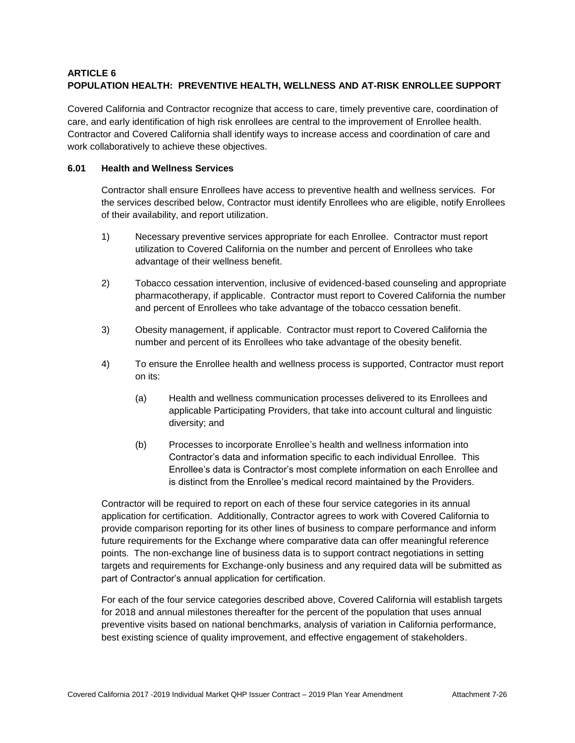# **ARTICLE 6 POPULATION HEALTH: PREVENTIVE HEALTH, WELLNESS AND AT-RISK ENROLLEE SUPPORT**

Covered California and Contractor recognize that access to care, timely preventive care, coordination of care, and early identification of high risk enrollees are central to the improvement of Enrollee health. Contractor and Covered California shall identify ways to increase access and coordination of care and work collaboratively to achieve these objectives.

# **6.01 Health and Wellness Services**

Contractor shall ensure Enrollees have access to preventive health and wellness services. For the services described below, Contractor must identify Enrollees who are eligible, notify Enrollees of their availability, and report utilization.

- 1) Necessary preventive services appropriate for each Enrollee. Contractor must report utilization to Covered California on the number and percent of Enrollees who take advantage of their wellness benefit.
- 2) Tobacco cessation intervention, inclusive of evidenced-based counseling and appropriate pharmacotherapy, if applicable. Contractor must report to Covered California the number and percent of Enrollees who take advantage of the tobacco cessation benefit.
- 3) Obesity management, if applicable. Contractor must report to Covered California the number and percent of its Enrollees who take advantage of the obesity benefit.
- 4) To ensure the Enrollee health and wellness process is supported, Contractor must report on its:
	- (a) Health and wellness communication processes delivered to its Enrollees and applicable Participating Providers, that take into account cultural and linguistic diversity; and
	- (b) Processes to incorporate Enrollee's health and wellness information into Contractor's data and information specific to each individual Enrollee. This Enrollee's data is Contractor's most complete information on each Enrollee and is distinct from the Enrollee's medical record maintained by the Providers.

Contractor will be required to report on each of these four service categories in its annual application for certification. Additionally, Contractor agrees to work with Covered California to provide comparison reporting for its other lines of business to compare performance and inform future requirements for the Exchange where comparative data can offer meaningful reference points. The non-exchange line of business data is to support contract negotiations in setting targets and requirements for Exchange-only business and any required data will be submitted as part of Contractor's annual application for certification.

For each of the four service categories described above, Covered California will establish targets for 2018 and annual milestones thereafter for the percent of the population that uses annual preventive visits based on national benchmarks, analysis of variation in California performance, best existing science of quality improvement, and effective engagement of stakeholders.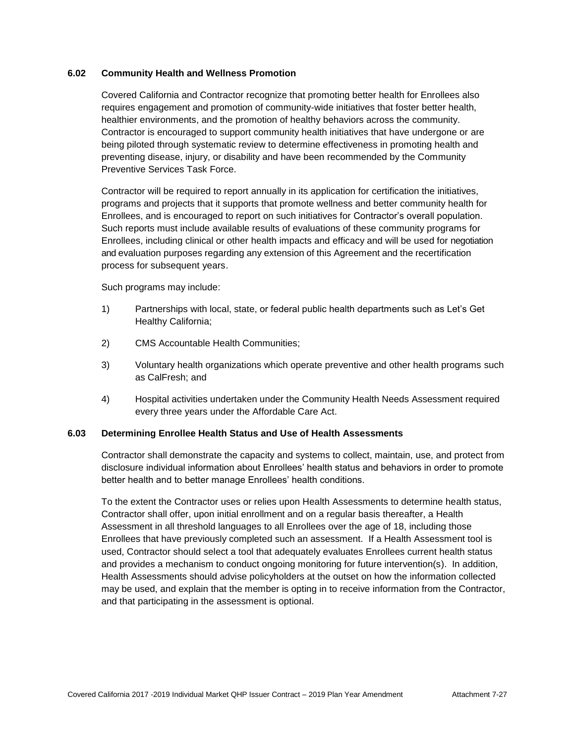## **6.02 Community Health and Wellness Promotion**

Covered California and Contractor recognize that promoting better health for Enrollees also requires engagement and promotion of community-wide initiatives that foster better health, healthier environments, and the promotion of healthy behaviors across the community. Contractor is encouraged to support community health initiatives that have undergone or are being piloted through systematic review to determine effectiveness in promoting health and preventing disease, injury, or disability and have been recommended by the Community Preventive Services Task Force.

Contractor will be required to report annually in its application for certification the initiatives, programs and projects that it supports that promote wellness and better community health for Enrollees, and is encouraged to report on such initiatives for Contractor's overall population. Such reports must include available results of evaluations of these community programs for Enrollees, including clinical or other health impacts and efficacy and will be used for negotiation and evaluation purposes regarding any extension of this Agreement and the recertification process for subsequent years.

Such programs may include:

- 1) Partnerships with local, state, or federal public health departments such as Let's Get Healthy California;
- 2) CMS Accountable Health Communities;
- 3) Voluntary health organizations which operate preventive and other health programs such as CalFresh; and
- 4) Hospital activities undertaken under the Community Health Needs Assessment required every three years under the Affordable Care Act.

#### **6.03 Determining Enrollee Health Status and Use of Health Assessments**

Contractor shall demonstrate the capacity and systems to collect, maintain, use, and protect from disclosure individual information about Enrollees' health status and behaviors in order to promote better health and to better manage Enrollees' health conditions.

To the extent the Contractor uses or relies upon Health Assessments to determine health status, Contractor shall offer, upon initial enrollment and on a regular basis thereafter, a Health Assessment in all threshold languages to all Enrollees over the age of 18, including those Enrollees that have previously completed such an assessment. If a Health Assessment tool is used, Contractor should select a tool that adequately evaluates Enrollees current health status and provides a mechanism to conduct ongoing monitoring for future intervention(s). In addition, Health Assessments should advise policyholders at the outset on how the information collected may be used, and explain that the member is opting in to receive information from the Contractor, and that participating in the assessment is optional.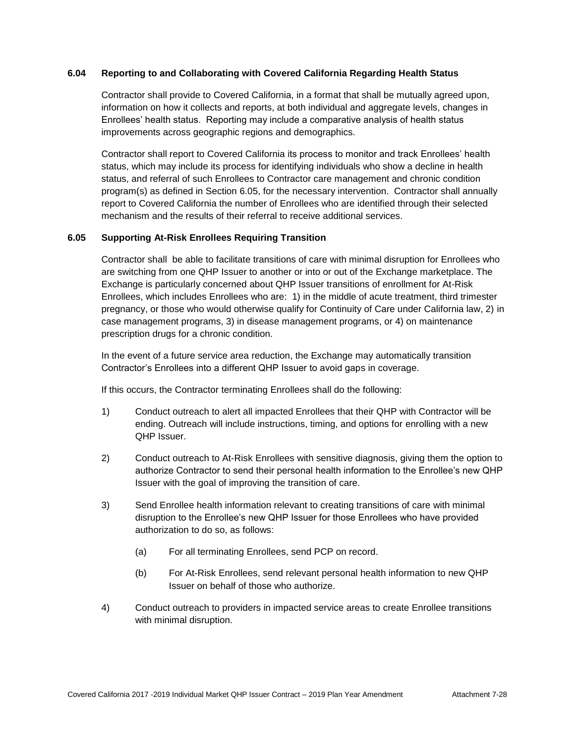#### **6.04 Reporting to and Collaborating with Covered California Regarding Health Status**

Contractor shall provide to Covered California, in a format that shall be mutually agreed upon, information on how it collects and reports, at both individual and aggregate levels, changes in Enrollees' health status. Reporting may include a comparative analysis of health status improvements across geographic regions and demographics.

Contractor shall report to Covered California its process to monitor and track Enrollees' health status, which may include its process for identifying individuals who show a decline in health status, and referral of such Enrollees to Contractor care management and chronic condition program(s) as defined in Section 6.05, for the necessary intervention. Contractor shall annually report to Covered California the number of Enrollees who are identified through their selected mechanism and the results of their referral to receive additional services.

# **6.05 Supporting At-Risk Enrollees Requiring Transition**

Contractor shall be able to facilitate transitions of care with minimal disruption for Enrollees who are switching from one QHP Issuer to another or into or out of the Exchange marketplace. The Exchange is particularly concerned about QHP Issuer transitions of enrollment for At-Risk Enrollees, which includes Enrollees who are: 1) in the middle of acute treatment, third trimester pregnancy, or those who would otherwise qualify for Continuity of Care under California law, 2) in case management programs, 3) in disease management programs, or 4) on maintenance prescription drugs for a chronic condition.

In the event of a future service area reduction, the Exchange may automatically transition Contractor's Enrollees into a different QHP Issuer to avoid gaps in coverage.

If this occurs, the Contractor terminating Enrollees shall do the following:

- 1) Conduct outreach to alert all impacted Enrollees that their QHP with Contractor will be ending. Outreach will include instructions, timing, and options for enrolling with a new QHP Issuer.
- 2) Conduct outreach to At-Risk Enrollees with sensitive diagnosis, giving them the option to authorize Contractor to send their personal health information to the Enrollee's new QHP Issuer with the goal of improving the transition of care.
- 3) Send Enrollee health information relevant to creating transitions of care with minimal disruption to the Enrollee's new QHP Issuer for those Enrollees who have provided authorization to do so, as follows:
	- (a) For all terminating Enrollees, send PCP on record.
	- (b) For At-Risk Enrollees, send relevant personal health information to new QHP Issuer on behalf of those who authorize.
- 4) Conduct outreach to providers in impacted service areas to create Enrollee transitions with minimal disruption.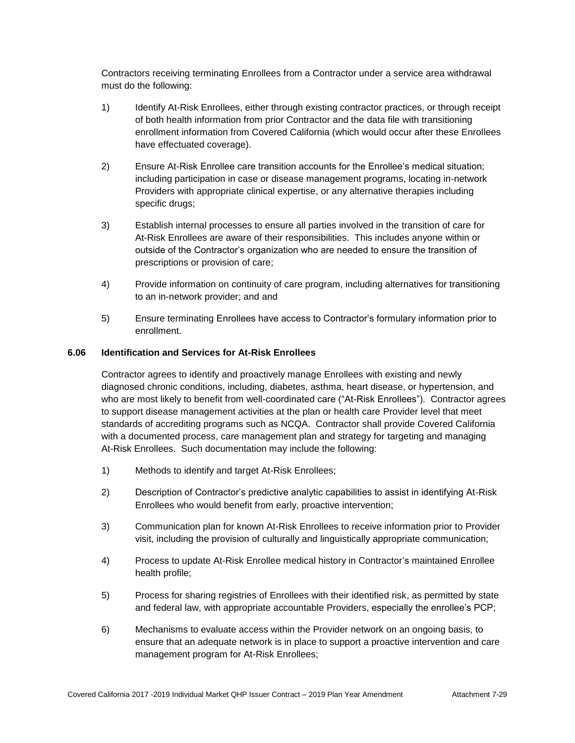Contractors receiving terminating Enrollees from a Contractor under a service area withdrawal must do the following:

- 1) Identify At-Risk Enrollees, either through existing contractor practices, or through receipt of both health information from prior Contractor and the data file with transitioning enrollment information from Covered California (which would occur after these Enrollees have effectuated coverage).
- 2) Ensure At-Risk Enrollee care transition accounts for the Enrollee's medical situation; including participation in case or disease management programs, locating in-network Providers with appropriate clinical expertise, or any alternative therapies including specific drugs;
- 3) Establish internal processes to ensure all parties involved in the transition of care for At-Risk Enrollees are aware of their responsibilities. This includes anyone within or outside of the Contractor's organization who are needed to ensure the transition of prescriptions or provision of care;
- 4) Provide information on continuity of care program, including alternatives for transitioning to an in-network provider; and and
- 5) Ensure terminating Enrollees have access to Contractor's formulary information prior to enrollment.

#### **6.06 Identification and Services for At-Risk Enrollees**

Contractor agrees to identify and proactively manage Enrollees with existing and newly diagnosed chronic conditions, including, diabetes, asthma, heart disease, or hypertension, and who are most likely to benefit from well-coordinated care ("At-Risk Enrollees"). Contractor agrees to support disease management activities at the plan or health care Provider level that meet standards of accrediting programs such as NCQA. Contractor shall provide Covered California with a documented process, care management plan and strategy for targeting and managing At-Risk Enrollees. Such documentation may include the following:

- 1) Methods to identify and target At-Risk Enrollees;
- 2) Description of Contractor's predictive analytic capabilities to assist in identifying At-Risk Enrollees who would benefit from early, proactive intervention;
- 3) Communication plan for known At-Risk Enrollees to receive information prior to Provider visit, including the provision of culturally and linguistically appropriate communication;
- 4) Process to update At-Risk Enrollee medical history in Contractor's maintained Enrollee health profile;
- 5) Process for sharing registries of Enrollees with their identified risk, as permitted by state and federal law, with appropriate accountable Providers, especially the enrollee's PCP;
- 6) Mechanisms to evaluate access within the Provider network on an ongoing basis, to ensure that an adequate network is in place to support a proactive intervention and care management program for At-Risk Enrollees;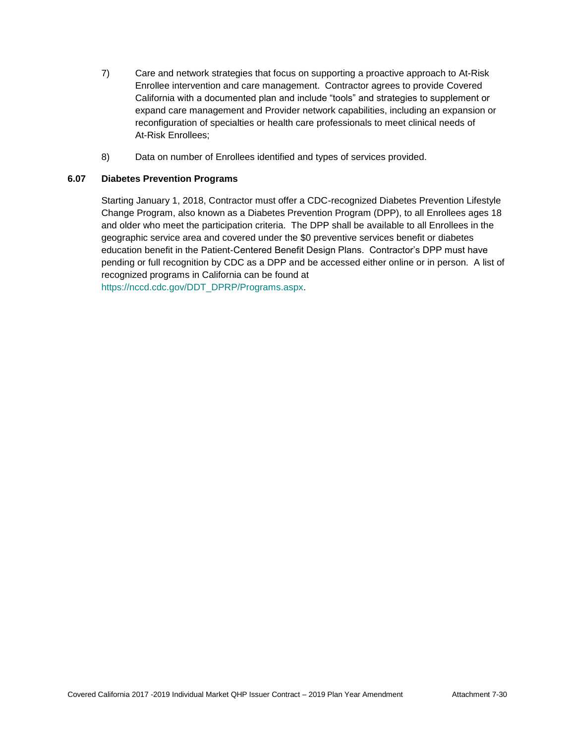- 7) Care and network strategies that focus on supporting a proactive approach to At-Risk Enrollee intervention and care management. Contractor agrees to provide Covered California with a documented plan and include "tools" and strategies to supplement or expand care management and Provider network capabilities, including an expansion or reconfiguration of specialties or health care professionals to meet clinical needs of At-Risk Enrollees;
- 8) Data on number of Enrollees identified and types of services provided.

# **6.07 Diabetes Prevention Programs**

Starting January 1, 2018, Contractor must offer a CDC-recognized Diabetes Prevention Lifestyle Change Program, also known as a Diabetes Prevention Program (DPP), to all Enrollees ages 18 and older who meet the participation criteria. The DPP shall be available to all Enrollees in the geographic service area and covered under the \$0 preventive services benefit or diabetes education benefit in the Patient-Centered Benefit Design Plans. Contractor's DPP must have pending or full recognition by CDC as a DPP and be accessed either online or in person. A list of recognized programs in California can be found at [https://nccd.cdc.gov/DDT\\_DPRP/Programs.aspx.](https://nccd.cdc.gov/DDT_DPRP/Programs.aspx)

Covered California 2017 -2019 Individual Market QHP Issuer Contract – 2019 Plan Year Amendment Attachment 7-30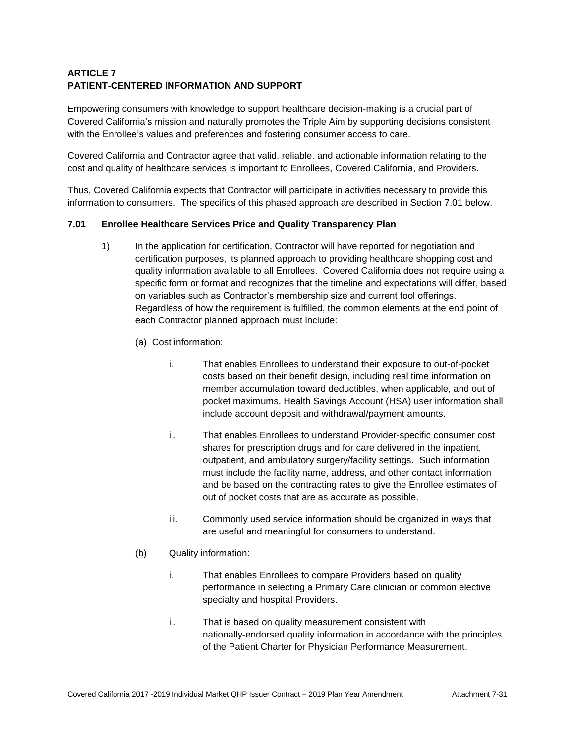# **ARTICLE 7 PATIENT-CENTERED INFORMATION AND SUPPORT**

Empowering consumers with knowledge to support healthcare decision-making is a crucial part of Covered California's mission and naturally promotes the Triple Aim by supporting decisions consistent with the Enrollee's values and preferences and fostering consumer access to care.

Covered California and Contractor agree that valid, reliable, and actionable information relating to the cost and quality of healthcare services is important to Enrollees, Covered California, and Providers.

Thus, Covered California expects that Contractor will participate in activities necessary to provide this information to consumers. The specifics of this phased approach are described in Section 7.01 below.

# **7.01 Enrollee Healthcare Services Price and Quality Transparency Plan**

- 1) In the application for certification, Contractor will have reported for negotiation and certification purposes, its planned approach to providing healthcare shopping cost and quality information available to all Enrollees. Covered California does not require using a specific form or format and recognizes that the timeline and expectations will differ, based on variables such as Contractor's membership size and current tool offerings. Regardless of how the requirement is fulfilled, the common elements at the end point of each Contractor planned approach must include:
	- (a) Cost information:
		- i. That enables Enrollees to understand their exposure to out-of-pocket costs based on their benefit design, including real time information on member accumulation toward deductibles, when applicable, and out of pocket maximums. Health Savings Account (HSA) user information shall include account deposit and withdrawal/payment amounts.
		- ii. That enables Enrollees to understand Provider-specific consumer cost shares for prescription drugs and for care delivered in the inpatient, outpatient, and ambulatory surgery/facility settings. Such information must include the facility name, address, and other contact information and be based on the contracting rates to give the Enrollee estimates of out of pocket costs that are as accurate as possible.
		- iii. Commonly used service information should be organized in ways that are useful and meaningful for consumers to understand.
	- (b) Quality information:
		- i. That enables Enrollees to compare Providers based on quality performance in selecting a Primary Care clinician or common elective specialty and hospital Providers.
		- ii. That is based on quality measurement consistent with nationally-endorsed quality information in accordance with the principles of the Patient Charter for Physician Performance Measurement.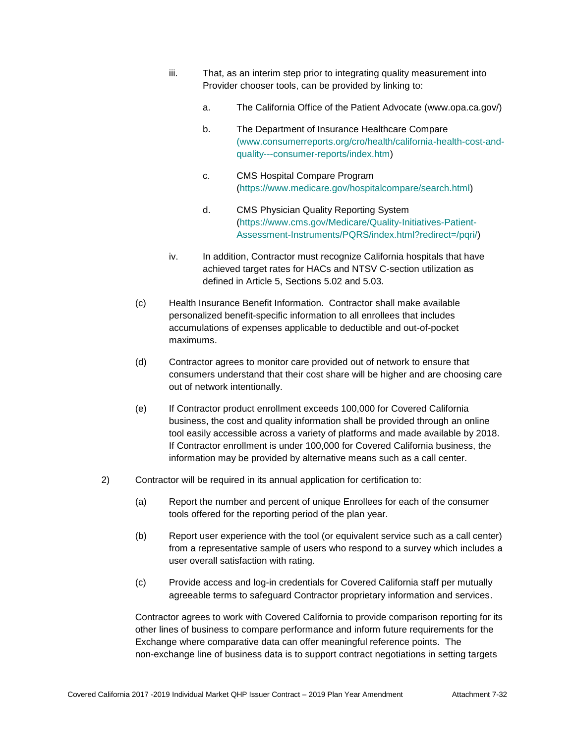- iii. That, as an interim step prior to integrating quality measurement into Provider chooser tools, can be provided by linking to:
	- a. The California Office of the Patient Advocate (www.opa.ca.gov/)
	- b. The Department of Insurance Healthcare Compare [\(www.consumerreports.org/cro/health/california-health-cost-and](http://(www.consumerreports.org/cro/health/california-health-cost-and-quality---consumer-reports/index.htm)[quality---consumer-reports/index.htm\)](http://(www.consumerreports.org/cro/health/california-health-cost-and-quality---consumer-reports/index.htm)
	- c. CMS Hospital Compare Program [\(https://www.medicare.gov/hospitalcompare/search.html\)](https://www.medicare.gov/hospitalcompare/search.html)
	- d. CMS Physician Quality Reporting System [\(https://www.cms.gov/Medicare/Quality-Initiatives-Patient-](https://www.cms.gov/Medicare/Quality-Initiatives-Patient-Assessment-Instruments/PQRS/index.html?redirect=/pqri/)[Assessment-Instruments/PQRS/index.html?redirect=/pqri/\)](https://www.cms.gov/Medicare/Quality-Initiatives-Patient-Assessment-Instruments/PQRS/index.html?redirect=/pqri/)
- iv. In addition, Contractor must recognize California hospitals that have achieved target rates for HACs and NTSV C-section utilization as defined in Article 5, Sections 5.02 and 5.03.
- (c) Health Insurance Benefit Information. Contractor shall make available personalized benefit-specific information to all enrollees that includes accumulations of expenses applicable to deductible and out-of-pocket maximums.
- (d) Contractor agrees to monitor care provided out of network to ensure that consumers understand that their cost share will be higher and are choosing care out of network intentionally.
- (e) If Contractor product enrollment exceeds 100,000 for Covered California business, the cost and quality information shall be provided through an online tool easily accessible across a variety of platforms and made available by 2018. If Contractor enrollment is under 100,000 for Covered California business, the information may be provided by alternative means such as a call center.
- 2) Contractor will be required in its annual application for certification to:
	- (a) Report the number and percent of unique Enrollees for each of the consumer tools offered for the reporting period of the plan year.
	- (b) Report user experience with the tool (or equivalent service such as a call center) from a representative sample of users who respond to a survey which includes a user overall satisfaction with rating.
	- (c) Provide access and log-in credentials for Covered California staff per mutually agreeable terms to safeguard Contractor proprietary information and services.

Contractor agrees to work with Covered California to provide comparison reporting for its other lines of business to compare performance and inform future requirements for the Exchange where comparative data can offer meaningful reference points. The non-exchange line of business data is to support contract negotiations in setting targets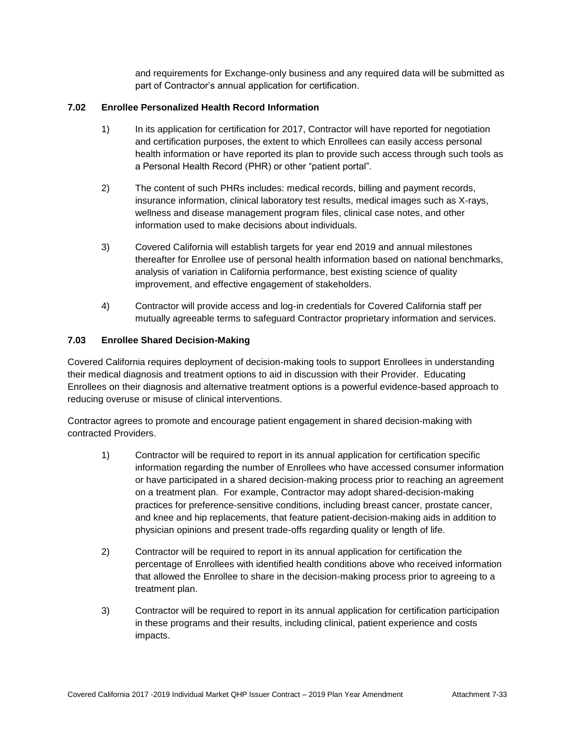and requirements for Exchange-only business and any required data will be submitted as part of Contractor's annual application for certification.

# **7.02 Enrollee Personalized Health Record Information**

- 1) In its application for certification for 2017, Contractor will have reported for negotiation and certification purposes, the extent to which Enrollees can easily access personal health information or have reported its plan to provide such access through such tools as a Personal Health Record (PHR) or other "patient portal".
- 2) The content of such PHRs includes: medical records, billing and payment records, insurance information, clinical laboratory test results, medical images such as X-rays, wellness and disease management program files, clinical case notes, and other information used to make decisions about individuals.
- 3) Covered California will establish targets for year end 2019 and annual milestones thereafter for Enrollee use of personal health information based on national benchmarks, analysis of variation in California performance, best existing science of quality improvement, and effective engagement of stakeholders.
- 4) Contractor will provide access and log-in credentials for Covered California staff per mutually agreeable terms to safeguard Contractor proprietary information and services.

# **7.03 Enrollee Shared Decision-Making**

Covered California requires deployment of decision-making tools to support Enrollees in understanding their medical diagnosis and treatment options to aid in discussion with their Provider. Educating Enrollees on their diagnosis and alternative treatment options is a powerful evidence-based approach to reducing overuse or misuse of clinical interventions.

Contractor agrees to promote and encourage patient engagement in shared decision-making with contracted Providers.

- 1) Contractor will be required to report in its annual application for certification specific information regarding the number of Enrollees who have accessed consumer information or have participated in a shared decision-making process prior to reaching an agreement on a treatment plan. For example, Contractor may adopt shared-decision-making practices for preference-sensitive conditions, including breast cancer, prostate cancer, and knee and hip replacements, that feature patient-decision-making aids in addition to physician opinions and present trade-offs regarding quality or length of life.
- 2) Contractor will be required to report in its annual application for certification the percentage of Enrollees with identified health conditions above who received information that allowed the Enrollee to share in the decision-making process prior to agreeing to a treatment plan.
- 3) Contractor will be required to report in its annual application for certification participation in these programs and their results, including clinical, patient experience and costs impacts.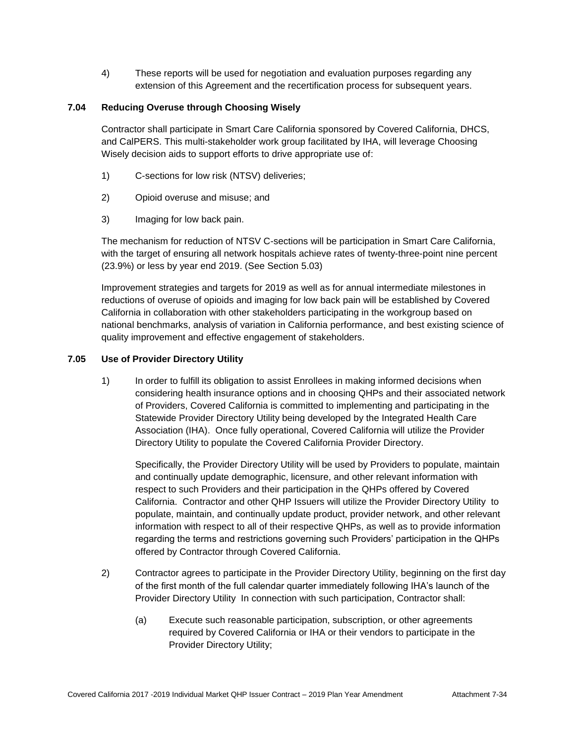4) These reports will be used for negotiation and evaluation purposes regarding any extension of this Agreement and the recertification process for subsequent years.

# **7.04 Reducing Overuse through Choosing Wisely**

Contractor shall participate in Smart Care California sponsored by Covered California, DHCS, and CalPERS. This multi-stakeholder work group facilitated by IHA, will leverage Choosing Wisely decision aids to support efforts to drive appropriate use of:

- 1) C-sections for low risk (NTSV) deliveries;
- 2) Opioid overuse and misuse; and
- 3) Imaging for low back pain.

The mechanism for reduction of NTSV C-sections will be participation in Smart Care California, with the target of ensuring all network hospitals achieve rates of twenty-three-point nine percent (23.9%) or less by year end 2019. (See Section 5.03)

Improvement strategies and targets for 2019 as well as for annual intermediate milestones in reductions of overuse of opioids and imaging for low back pain will be established by Covered California in collaboration with other stakeholders participating in the workgroup based on national benchmarks, analysis of variation in California performance, and best existing science of quality improvement and effective engagement of stakeholders.

# **7.05 Use of Provider Directory Utility**

1) In order to fulfill its obligation to assist Enrollees in making informed decisions when considering health insurance options and in choosing QHPs and their associated network of Providers, Covered California is committed to implementing and participating in the Statewide Provider Directory Utility being developed by the Integrated Health Care Association (IHA). Once fully operational, Covered California will utilize the Provider Directory Utility to populate the Covered California Provider Directory.

Specifically, the Provider Directory Utility will be used by Providers to populate, maintain and continually update demographic, licensure, and other relevant information with respect to such Providers and their participation in the QHPs offered by Covered California. Contractor and other QHP Issuers will utilize the Provider Directory Utility to populate, maintain, and continually update product, provider network, and other relevant information with respect to all of their respective QHPs, as well as to provide information regarding the terms and restrictions governing such Providers' participation in the QHPs offered by Contractor through Covered California.

- 2) Contractor agrees to participate in the Provider Directory Utility, beginning on the first day of the first month of the full calendar quarter immediately following IHA's launch of the Provider Directory Utility In connection with such participation, Contractor shall:
	- (a) Execute such reasonable participation, subscription, or other agreements required by Covered California or IHA or their vendors to participate in the Provider Directory Utility;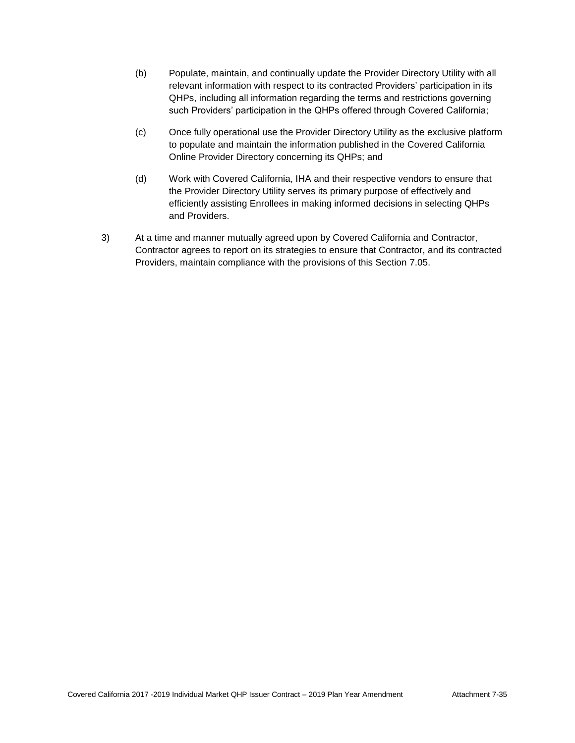- (b) Populate, maintain, and continually update the Provider Directory Utility with all relevant information with respect to its contracted Providers' participation in its QHPs, including all information regarding the terms and restrictions governing such Providers' participation in the QHPs offered through Covered California;
- (c) Once fully operational use the Provider Directory Utility as the exclusive platform to populate and maintain the information published in the Covered California Online Provider Directory concerning its QHPs; and
- (d) Work with Covered California, IHA and their respective vendors to ensure that the Provider Directory Utility serves its primary purpose of effectively and efficiently assisting Enrollees in making informed decisions in selecting QHPs and Providers.
- 3) At a time and manner mutually agreed upon by Covered California and Contractor, Contractor agrees to report on its strategies to ensure that Contractor, and its contracted Providers, maintain compliance with the provisions of this Section 7.05.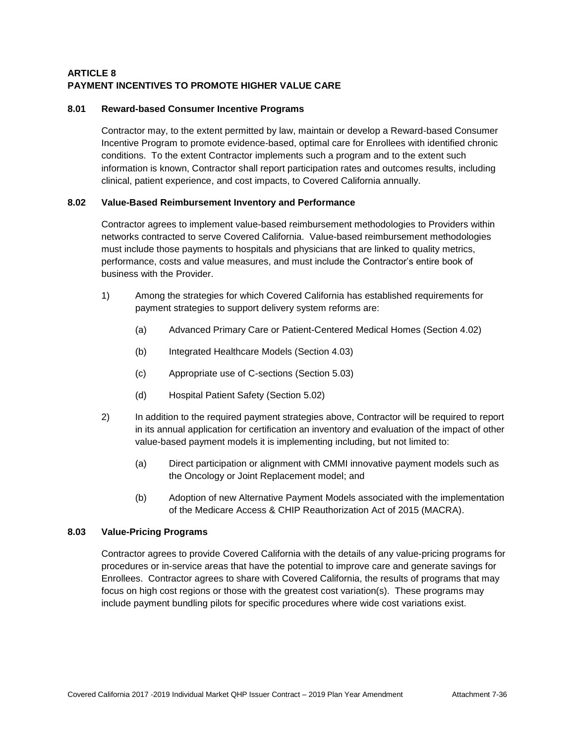# **ARTICLE 8 PAYMENT INCENTIVES TO PROMOTE HIGHER VALUE CARE**

# **8.01 Reward-based Consumer Incentive Programs**

Contractor may, to the extent permitted by law, maintain or develop a Reward-based Consumer Incentive Program to promote evidence-based, optimal care for Enrollees with identified chronic conditions. To the extent Contractor implements such a program and to the extent such information is known, Contractor shall report participation rates and outcomes results, including clinical, patient experience, and cost impacts, to Covered California annually.

# **8.02 Value-Based Reimbursement Inventory and Performance**

Contractor agrees to implement value-based reimbursement methodologies to Providers within networks contracted to serve Covered California. Value-based reimbursement methodologies must include those payments to hospitals and physicians that are linked to quality metrics, performance, costs and value measures, and must include the Contractor's entire book of business with the Provider.

- 1) Among the strategies for which Covered California has established requirements for payment strategies to support delivery system reforms are:
	- (a) Advanced Primary Care or Patient-Centered Medical Homes (Section 4.02)
	- (b) Integrated Healthcare Models (Section 4.03)
	- (c) Appropriate use of C-sections (Section 5.03)
	- (d) Hospital Patient Safety (Section 5.02)
- 2) In addition to the required payment strategies above, Contractor will be required to report in its annual application for certification an inventory and evaluation of the impact of other value-based payment models it is implementing including, but not limited to:
	- (a) Direct participation or alignment with CMMI innovative payment models such as the Oncology or Joint Replacement model; and
	- (b) Adoption of new Alternative Payment Models associated with the implementation of the Medicare Access & [CHIP](http://www.insurekidsnow.gov/chip/index.html) Reauthorization Act of 2015 (MACRA).

# **8.03 Value-Pricing Programs**

Contractor agrees to provide Covered California with the details of any value-pricing programs for procedures or in-service areas that have the potential to improve care and generate savings for Enrollees. Contractor agrees to share with Covered California, the results of programs that may focus on high cost regions or those with the greatest cost variation(s). These programs may include payment bundling pilots for specific procedures where wide cost variations exist.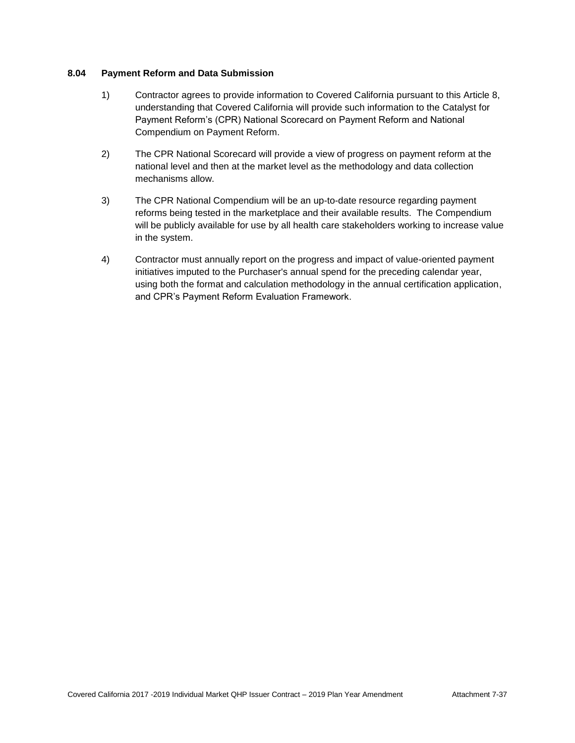## **8.04 Payment Reform and Data Submission**

- 1) Contractor agrees to provide information to Covered California pursuant to this Article 8, understanding that Covered California will provide such information to the Catalyst for Payment Reform's (CPR) National Scorecard on Payment Reform and National Compendium on Payment Reform.
- 2) The CPR National Scorecard will provide a view of progress on payment reform at the national level and then at the market level as the methodology and data collection mechanisms allow.
- 3) The CPR National Compendium will be an up-to-date resource regarding payment reforms being tested in the marketplace and their available results. The Compendium will be publicly available for use by all health care stakeholders working to increase value in the system.
- 4) Contractor must annually report on the progress and impact of value-oriented payment initiatives imputed to the Purchaser's annual spend for the preceding calendar year, using both the format and calculation methodology in the annual certification application, and CPR's Payment Reform Evaluation Framework.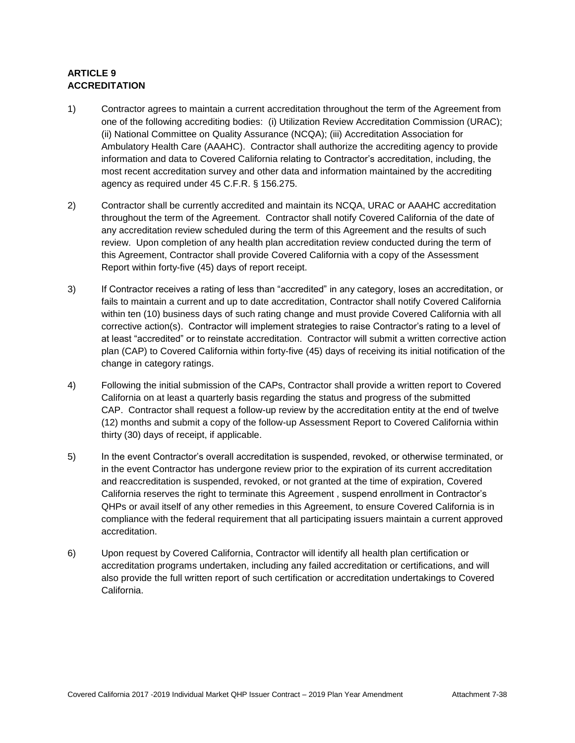# **ARTICLE 9 ACCREDITATION**

- 1) Contractor agrees to maintain a current accreditation throughout the term of the Agreement from one of the following accrediting bodies: (i) Utilization Review Accreditation Commission (URAC); (ii) National Committee on Quality Assurance (NCQA); (iii) Accreditation Association for Ambulatory Health Care (AAAHC). Contractor shall authorize the accrediting agency to provide information and data to Covered California relating to Contractor's accreditation, including, the most recent accreditation survey and other data and information maintained by the accrediting agency as required under 45 C.F.R. § 156.275.
- 2) Contractor shall be currently accredited and maintain its NCQA, URAC or AAAHC accreditation throughout the term of the Agreement. Contractor shall notify Covered California of the date of any accreditation review scheduled during the term of this Agreement and the results of such review. Upon completion of any health plan accreditation review conducted during the term of this Agreement, Contractor shall provide Covered California with a copy of the Assessment Report within forty-five (45) days of report receipt.
- 3) If Contractor receives a rating of less than "accredited" in any category, loses an accreditation, or fails to maintain a current and up to date accreditation, Contractor shall notify Covered California within ten (10) business days of such rating change and must provide Covered California with all corrective action(s). Contractor will implement strategies to raise Contractor's rating to a level of at least "accredited" or to reinstate accreditation. Contractor will submit a written corrective action plan (CAP) to Covered California within forty-five (45) days of receiving its initial notification of the change in category ratings.
- 4) Following the initial submission of the CAPs, Contractor shall provide a written report to Covered California on at least a quarterly basis regarding the status and progress of the submitted CAP. Contractor shall request a follow-up review by the accreditation entity at the end of twelve (12) months and submit a copy of the follow-up Assessment Report to Covered California within thirty (30) days of receipt, if applicable.
- 5) In the event Contractor's overall accreditation is suspended, revoked, or otherwise terminated, or in the event Contractor has undergone review prior to the expiration of its current accreditation and reaccreditation is suspended, revoked, or not granted at the time of expiration, Covered California reserves the right to terminate this Agreement , suspend enrollment in Contractor's QHPs or avail itself of any other remedies in this Agreement, to ensure Covered California is in compliance with the federal requirement that all participating issuers maintain a current approved accreditation.
- 6) Upon request by Covered California, Contractor will identify all health plan certification or accreditation programs undertaken, including any failed accreditation or certifications, and will also provide the full written report of such certification or accreditation undertakings to Covered California.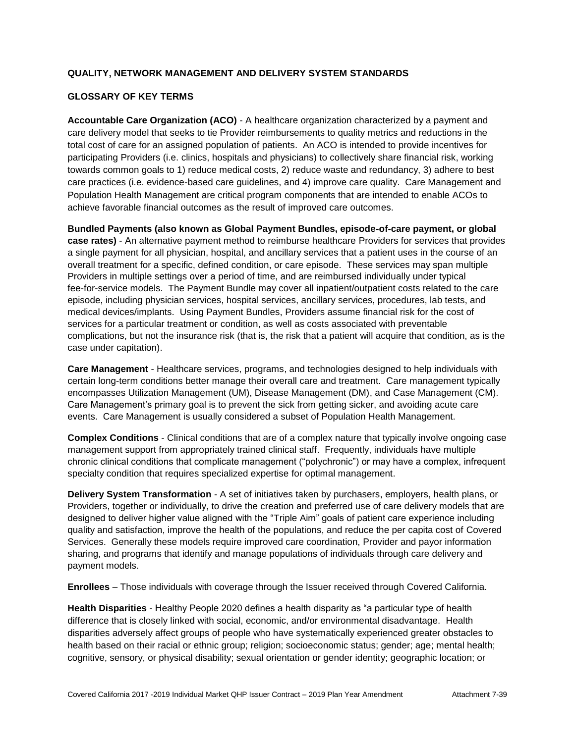# **QUALITY, NETWORK MANAGEMENT AND DELIVERY SYSTEM STANDARDS**

# **GLOSSARY OF KEY TERMS**

**Accountable Care Organization (ACO)** - A healthcare organization characterized by a payment and care delivery model that seeks to tie Provider reimbursements to quality metrics and reductions in the total cost of care for an assigned population of patients. An ACO is intended to provide incentives for participating Providers (i.e. clinics, hospitals and physicians) to collectively share financial risk, working towards common goals to 1) reduce medical costs, 2) reduce waste and redundancy, 3) adhere to best care practices (i.e. evidence-based care guidelines, and 4) improve care quality. Care Management and Population Health Management are critical program components that are intended to enable ACOs to achieve favorable financial outcomes as the result of improved care outcomes.

**Bundled Payments (also known as Global Payment Bundles, episode-of-care payment, or global case rates)** - An alternative payment method to reimburse healthcare Providers for services that provides a single payment for all physician, hospital, and ancillary services that a patient uses in the course of an overall treatment for a specific, defined condition, or care episode. These services may span multiple Providers in multiple settings over a period of time, and are reimbursed individually under typical fee-for-service models. The Payment Bundle may cover all inpatient/outpatient costs related to the care episode, including physician services, hospital services, ancillary services, procedures, lab tests, and medical devices/implants. Using Payment Bundles, Providers assume financial risk for the cost of services for a particular treatment or condition, as well as costs associated with preventable complications, but not the insurance risk (that is, the risk that a patient will acquire that condition, as is the case under capitation).

**Care Management** - Healthcare services, programs, and technologies designed to help individuals with certain long-term conditions better manage their overall care and treatment. Care management typically encompasses Utilization Management (UM), Disease Management (DM), and Case Management (CM). Care Management's primary goal is to prevent the sick from getting sicker, and avoiding acute care events. Care Management is usually considered a subset of Population Health Management.

**Complex Conditions** - Clinical conditions that are of a complex nature that typically involve ongoing case management support from appropriately trained clinical staff. Frequently, individuals have multiple chronic clinical conditions that complicate management ("polychronic") or may have a complex, infrequent specialty condition that requires specialized expertise for optimal management.

**Delivery System Transformation** - A set of initiatives taken by purchasers, employers, health plans, or Providers, together or individually, to drive the creation and preferred use of care delivery models that are designed to deliver higher value aligned with the "Triple Aim" goals of patient care experience including quality and satisfaction, improve the health of the populations, and reduce the per capita cost of Covered Services. Generally these models require improved care coordination, Provider and payor information sharing, and programs that identify and manage populations of individuals through care delivery and payment models.

**Enrollees** – Those individuals with coverage through the Issuer received through Covered California.

**Health Disparities** - Healthy People 2020 defines a health disparity as "a particular type of health difference that is closely linked with social, economic, and/or environmental disadvantage. Health disparities adversely affect groups of people who have systematically experienced greater obstacles to health based on their racial or ethnic group; religion; socioeconomic status; gender; age; mental health; cognitive, sensory, or physical disability; sexual orientation or gender identity; geographic location; or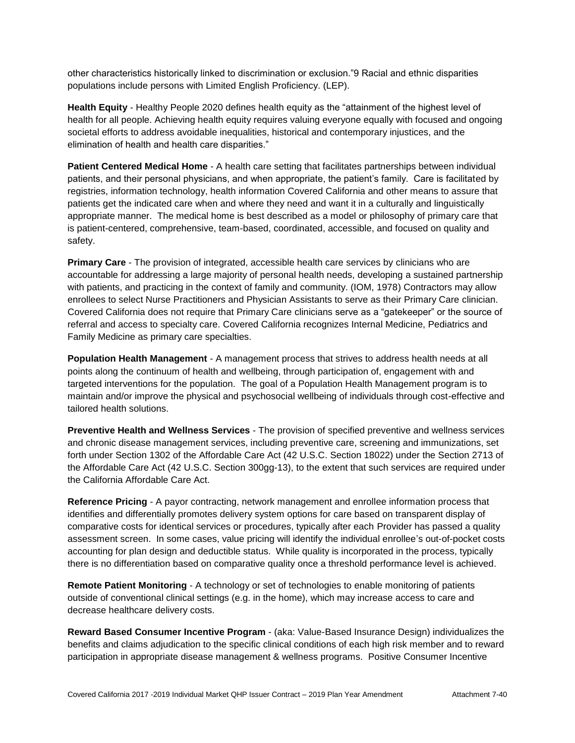other characteristics historically linked to discrimination or exclusion."9 Racial and ethnic disparities populations include persons with Limited English Proficiency. (LEP).

**Health Equity** - Healthy People 2020 defines health equity as the "attainment of the highest level of health for all people. Achieving health equity requires valuing everyone equally with focused and ongoing societal efforts to address avoidable inequalities, historical and contemporary injustices, and the elimination of health and health care disparities."

**Patient Centered Medical Home** - A health care setting that facilitates partnerships between individual patients, and their personal physicians, and when appropriate, the patient's family. Care is facilitated by registries, information technology, health information Covered California and other means to assure that patients get the indicated care when and where they need and want it in a culturally and linguistically appropriate manner. The medical home is best described as a model or philosophy of primary care that is patient-centered, comprehensive, team-based, coordinated, accessible, and focused on quality and safety.

**Primary Care** - The provision of integrated, accessible health care services by clinicians who are accountable for addressing a large majority of personal health needs, developing a sustained partnership with patients, and practicing in the context of family and community. (IOM, 1978) Contractors may allow enrollees to select Nurse Practitioners and Physician Assistants to serve as their Primary Care clinician. Covered California does not require that Primary Care clinicians serve as a "gatekeeper" or the source of referral and access to specialty care. Covered California recognizes Internal Medicine, Pediatrics and Family Medicine as primary care specialties.

**Population Health Management** - A management process that strives to address health needs at all points along the continuum of health and wellbeing, through participation of, engagement with and targeted interventions for the population. The goal of a Population Health Management program is to maintain and/or improve the physical and psychosocial wellbeing of individuals through cost-effective and tailored health solutions.

**Preventive Health and Wellness Services** - The provision of specified preventive and wellness services and chronic disease management services, including preventive care, screening and immunizations, set forth under Section 1302 of the Affordable Care Act (42 U.S.C. Section 18022) under the Section 2713 of the Affordable Care Act (42 U.S.C. Section 300gg-13), to the extent that such services are required under the California Affordable Care Act.

**Reference Pricing** - A payor contracting, network management and enrollee information process that identifies and differentially promotes delivery system options for care based on transparent display of comparative costs for identical services or procedures, typically after each Provider has passed a quality assessment screen. In some cases, value pricing will identify the individual enrollee's out-of-pocket costs accounting for plan design and deductible status. While quality is incorporated in the process, typically there is no differentiation based on comparative quality once a threshold performance level is achieved.

**Remote Patient Monitoring** - A technology or set of technologies to enable monitoring of patients outside of conventional clinical settings (e.g. in the home), which may increase access to care and decrease healthcare delivery costs.

**Reward Based Consumer Incentive Program** - (aka: Value-Based Insurance Design) individualizes the benefits and claims adjudication to the specific clinical conditions of each high risk member and to reward participation in appropriate disease management & wellness programs. Positive Consumer Incentive